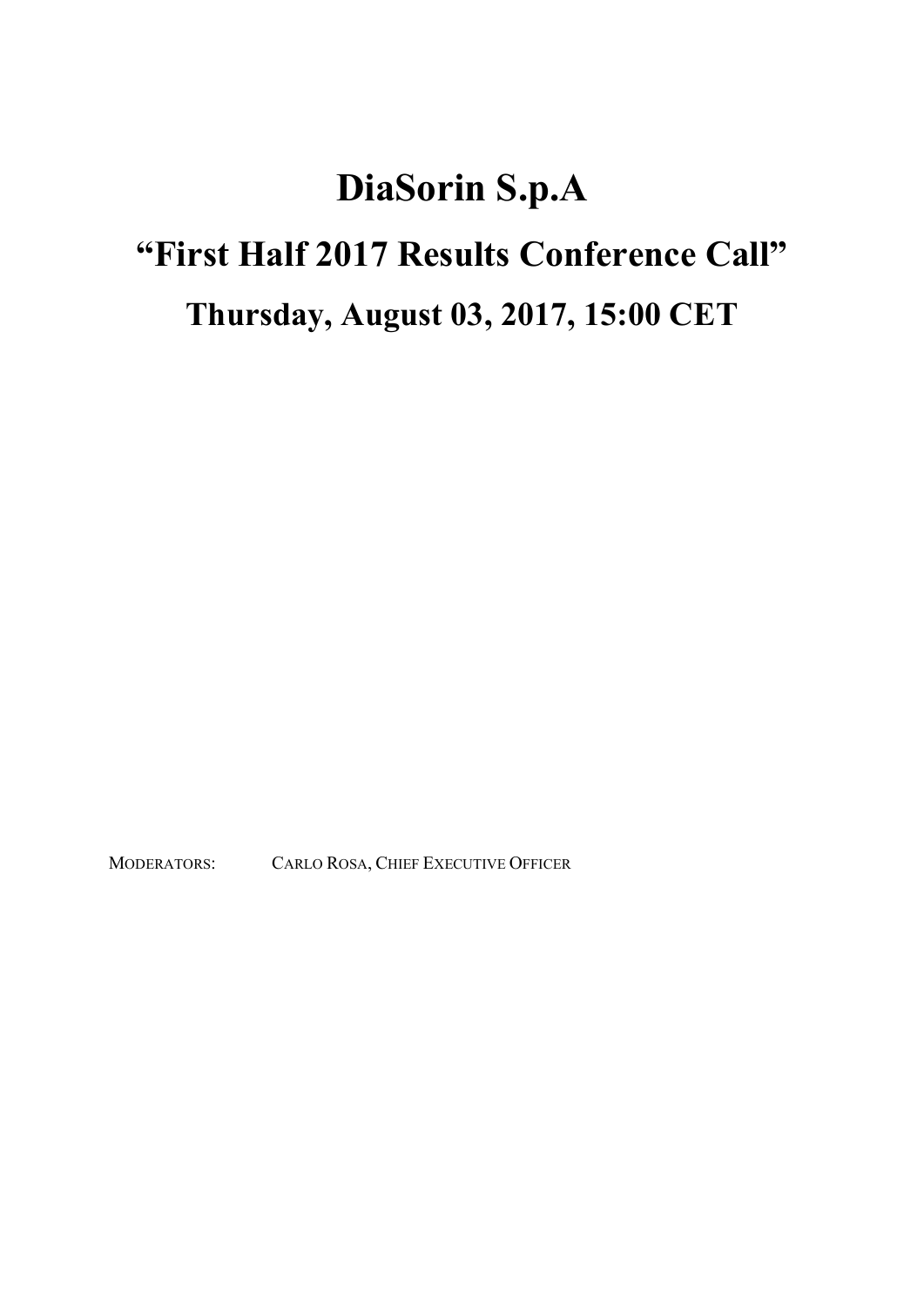## DiaSorin S.p.A "First Half 2017 Results Conference Call" Thursday, August 03, 2017, 15:00 CET

MODERATORS: CARLO ROSA, CHIEF EXECUTIVE OFFICER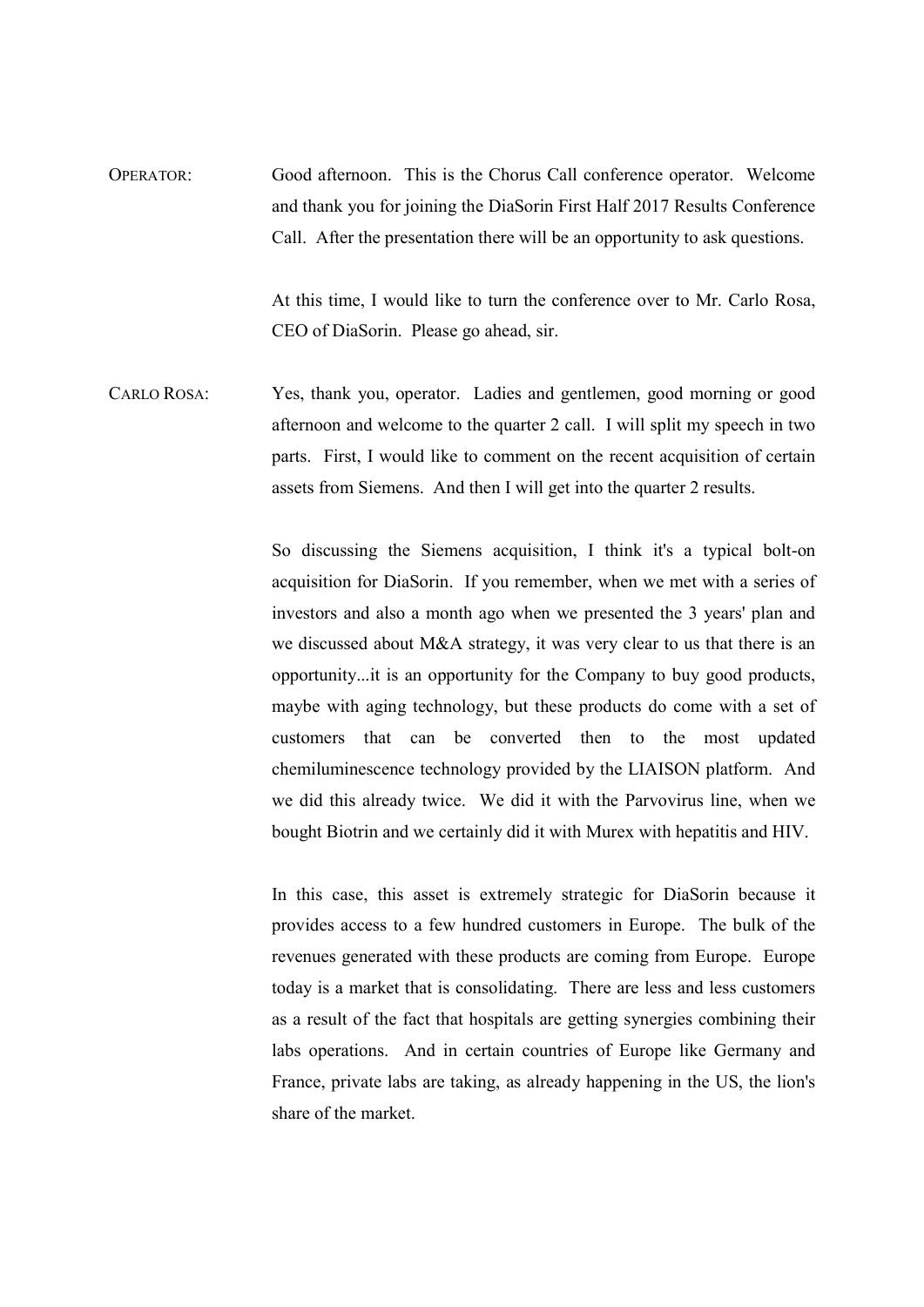OPERATOR: Good afternoon. This is the Chorus Call conference operator. Welcome and thank you for joining the DiaSorin First Half 2017 Results Conference Call. After the presentation there will be an opportunity to ask questions.

> At this time, I would like to turn the conference over to Mr. Carlo Rosa, CEO of DiaSorin. Please go ahead, sir.

CARLO ROSA: Yes, thank you, operator. Ladies and gentlemen, good morning or good afternoon and welcome to the quarter 2 call. I will split my speech in two parts. First, I would like to comment on the recent acquisition of certain assets from Siemens. And then I will get into the quarter 2 results.

> So discussing the Siemens acquisition, I think it's a typical bolt-on acquisition for DiaSorin. If you remember, when we met with a series of investors and also a month ago when we presented the 3 years' plan and we discussed about M&A strategy, it was very clear to us that there is an opportunity...it is an opportunity for the Company to buy good products, maybe with aging technology, but these products do come with a set of customers that can be converted then to the most updated chemiluminescence technology provided by the LIAISON platform. And we did this already twice. We did it with the Parvovirus line, when we bought Biotrin and we certainly did it with Murex with hepatitis and HIV.

> In this case, this asset is extremely strategic for DiaSorin because it provides access to a few hundred customers in Europe. The bulk of the revenues generated with these products are coming from Europe. Europe today is a market that is consolidating. There are less and less customers as a result of the fact that hospitals are getting synergies combining their labs operations. And in certain countries of Europe like Germany and France, private labs are taking, as already happening in the US, the lion's share of the market.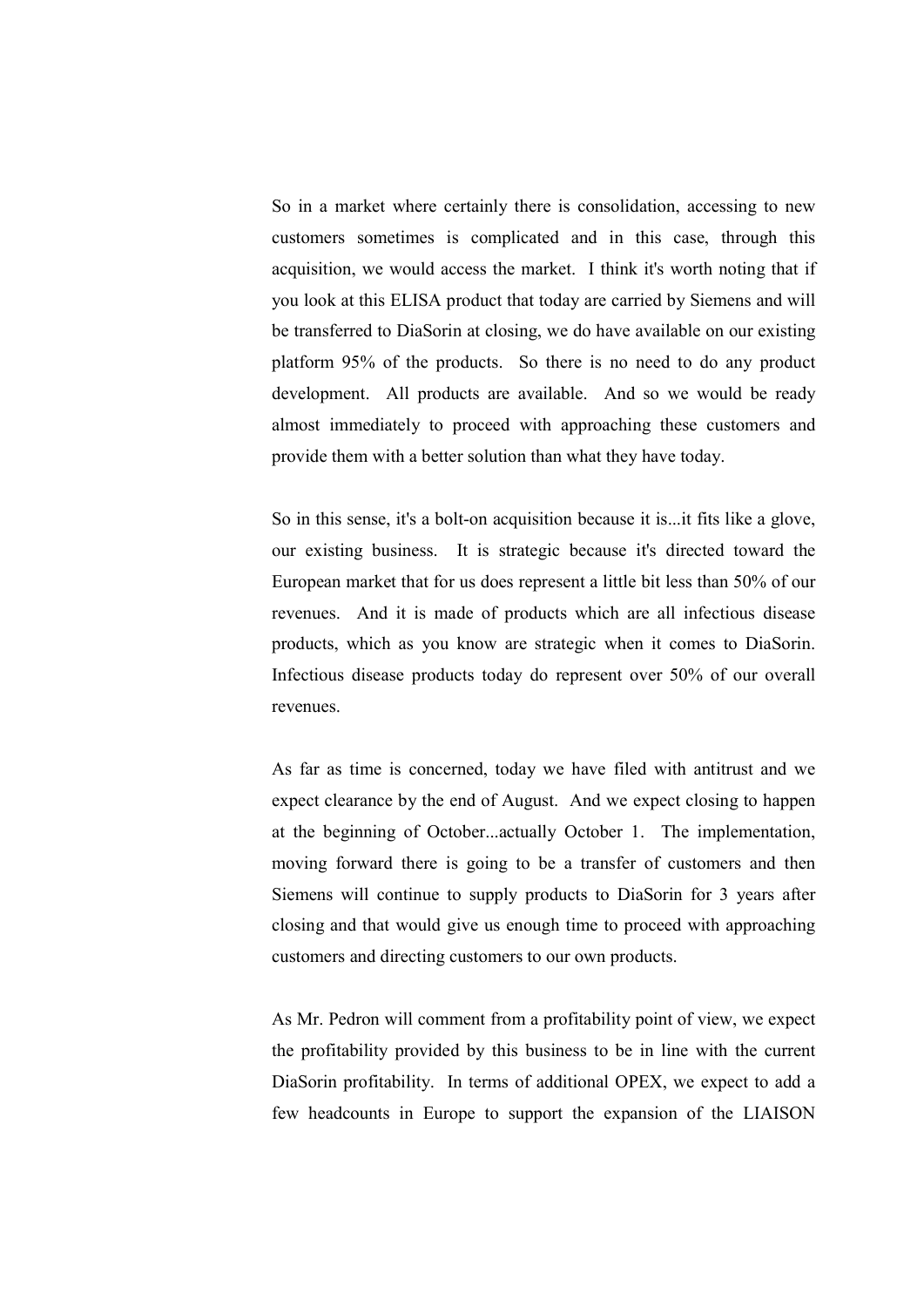So in a market where certainly there is consolidation, accessing to new customers sometimes is complicated and in this case, through this acquisition, we would access the market. I think it's worth noting that if you look at this ELISA product that today are carried by Siemens and will be transferred to DiaSorin at closing, we do have available on our existing platform 95% of the products. So there is no need to do any product development. All products are available. And so we would be ready almost immediately to proceed with approaching these customers and provide them with a better solution than what they have today.

 So in this sense, it's a bolt-on acquisition because it is...it fits like a glove, our existing business. It is strategic because it's directed toward the European market that for us does represent a little bit less than 50% of our revenues. And it is made of products which are all infectious disease products, which as you know are strategic when it comes to DiaSorin. Infectious disease products today do represent over 50% of our overall revenues.

 As far as time is concerned, today we have filed with antitrust and we expect clearance by the end of August. And we expect closing to happen at the beginning of October...actually October 1. The implementation, moving forward there is going to be a transfer of customers and then Siemens will continue to supply products to DiaSorin for 3 years after closing and that would give us enough time to proceed with approaching customers and directing customers to our own products.

 As Mr. Pedron will comment from a profitability point of view, we expect the profitability provided by this business to be in line with the current DiaSorin profitability. In terms of additional OPEX, we expect to add a few headcounts in Europe to support the expansion of the LIAISON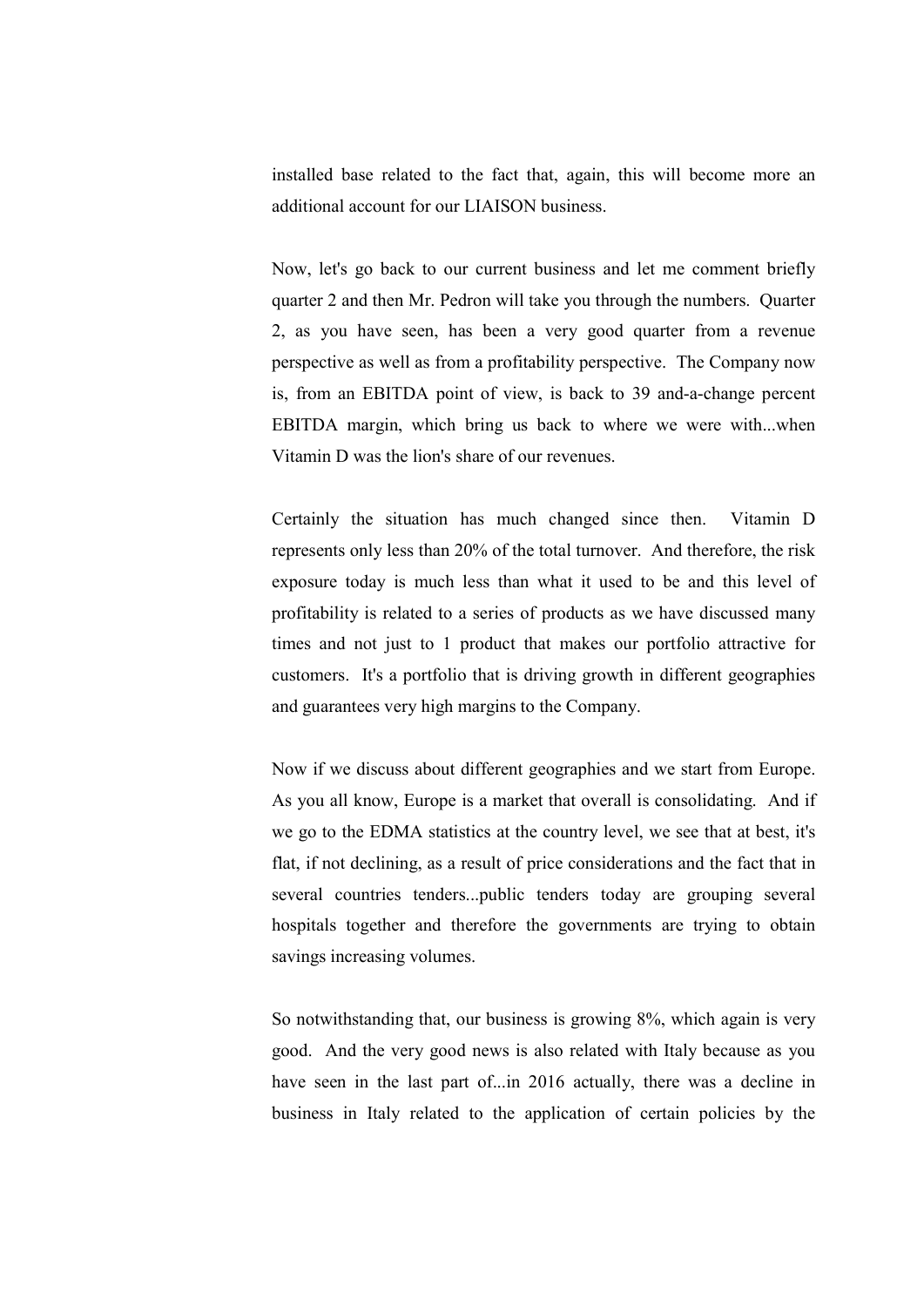installed base related to the fact that, again, this will become more an additional account for our LIAISON business.

 Now, let's go back to our current business and let me comment briefly quarter 2 and then Mr. Pedron will take you through the numbers. Quarter 2, as you have seen, has been a very good quarter from a revenue perspective as well as from a profitability perspective. The Company now is, from an EBITDA point of view, is back to 39 and-a-change percent EBITDA margin, which bring us back to where we were with...when Vitamin D was the lion's share of our revenues.

 Certainly the situation has much changed since then. Vitamin D represents only less than 20% of the total turnover. And therefore, the risk exposure today is much less than what it used to be and this level of profitability is related to a series of products as we have discussed many times and not just to 1 product that makes our portfolio attractive for customers. It's a portfolio that is driving growth in different geographies and guarantees very high margins to the Company.

 Now if we discuss about different geographies and we start from Europe. As you all know, Europe is a market that overall is consolidating. And if we go to the EDMA statistics at the country level, we see that at best, it's flat, if not declining, as a result of price considerations and the fact that in several countries tenders...public tenders today are grouping several hospitals together and therefore the governments are trying to obtain savings increasing volumes.

 So notwithstanding that, our business is growing 8%, which again is very good. And the very good news is also related with Italy because as you have seen in the last part of...in 2016 actually, there was a decline in business in Italy related to the application of certain policies by the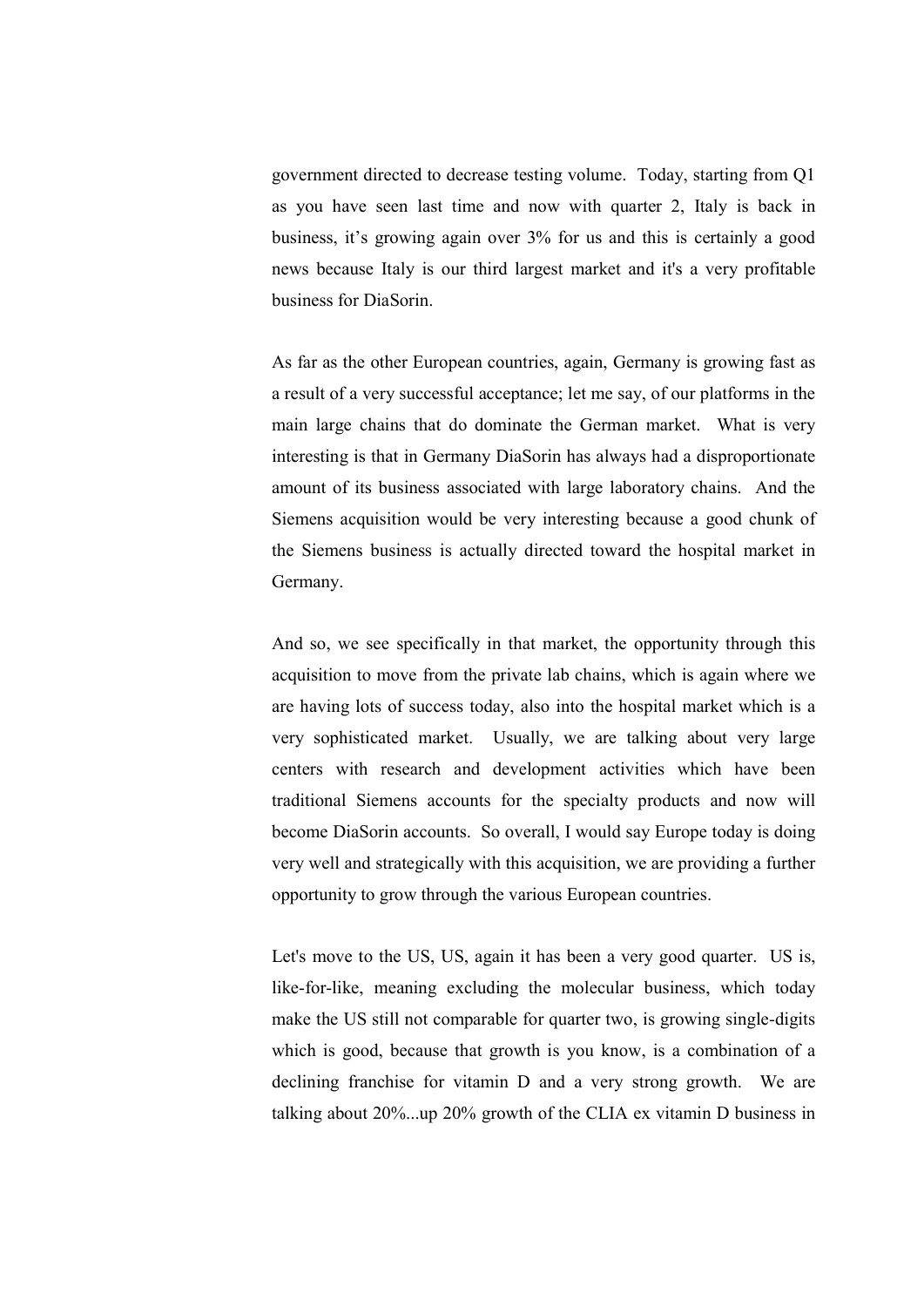government directed to decrease testing volume. Today, starting from Q1 as you have seen last time and now with quarter 2, Italy is back in business, it's growing again over 3% for us and this is certainly a good news because Italy is our third largest market and it's a very profitable business for DiaSorin.

 As far as the other European countries, again, Germany is growing fast as a result of a very successful acceptance; let me say, of our platforms in the main large chains that do dominate the German market. What is very interesting is that in Germany DiaSorin has always had a disproportionate amount of its business associated with large laboratory chains. And the Siemens acquisition would be very interesting because a good chunk of the Siemens business is actually directed toward the hospital market in Germany.

 And so, we see specifically in that market, the opportunity through this acquisition to move from the private lab chains, which is again where we are having lots of success today, also into the hospital market which is a very sophisticated market. Usually, we are talking about very large centers with research and development activities which have been traditional Siemens accounts for the specialty products and now will become DiaSorin accounts. So overall, I would say Europe today is doing very well and strategically with this acquisition, we are providing a further opportunity to grow through the various European countries.

 Let's move to the US, US, again it has been a very good quarter. US is, like-for-like, meaning excluding the molecular business, which today make the US still not comparable for quarter two, is growing single-digits which is good, because that growth is you know, is a combination of a declining franchise for vitamin D and a very strong growth. We are talking about 20%...up 20% growth of the CLIA ex vitamin D business in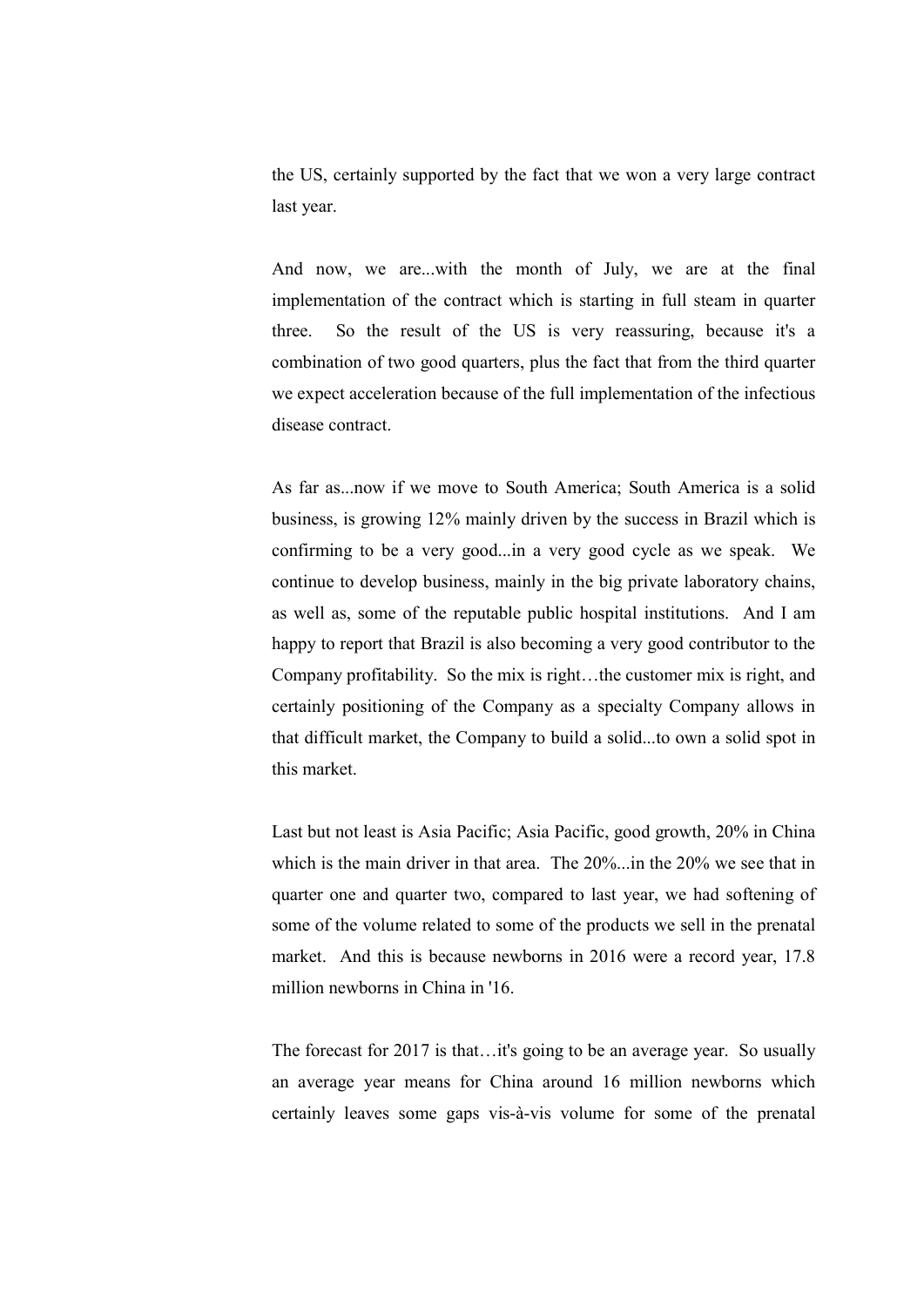the US, certainly supported by the fact that we won a very large contract last year.

 And now, we are...with the month of July, we are at the final implementation of the contract which is starting in full steam in quarter three. So the result of the US is very reassuring, because it's a combination of two good quarters, plus the fact that from the third quarter we expect acceleration because of the full implementation of the infectious disease contract.

 As far as...now if we move to South America; South America is a solid business, is growing 12% mainly driven by the success in Brazil which is confirming to be a very good...in a very good cycle as we speak. We continue to develop business, mainly in the big private laboratory chains, as well as, some of the reputable public hospital institutions. And I am happy to report that Brazil is also becoming a very good contributor to the Company profitability. So the mix is right…the customer mix is right, and certainly positioning of the Company as a specialty Company allows in that difficult market, the Company to build a solid...to own a solid spot in this market.

 Last but not least is Asia Pacific; Asia Pacific, good growth, 20% in China which is the main driver in that area. The 20%...in the 20% we see that in quarter one and quarter two, compared to last year, we had softening of some of the volume related to some of the products we sell in the prenatal market. And this is because newborns in 2016 were a record year, 17.8 million newborns in China in '16.

The forecast for 2017 is that...it's going to be an average year. So usually an average year means for China around 16 million newborns which certainly leaves some gaps vis-à-vis volume for some of the prenatal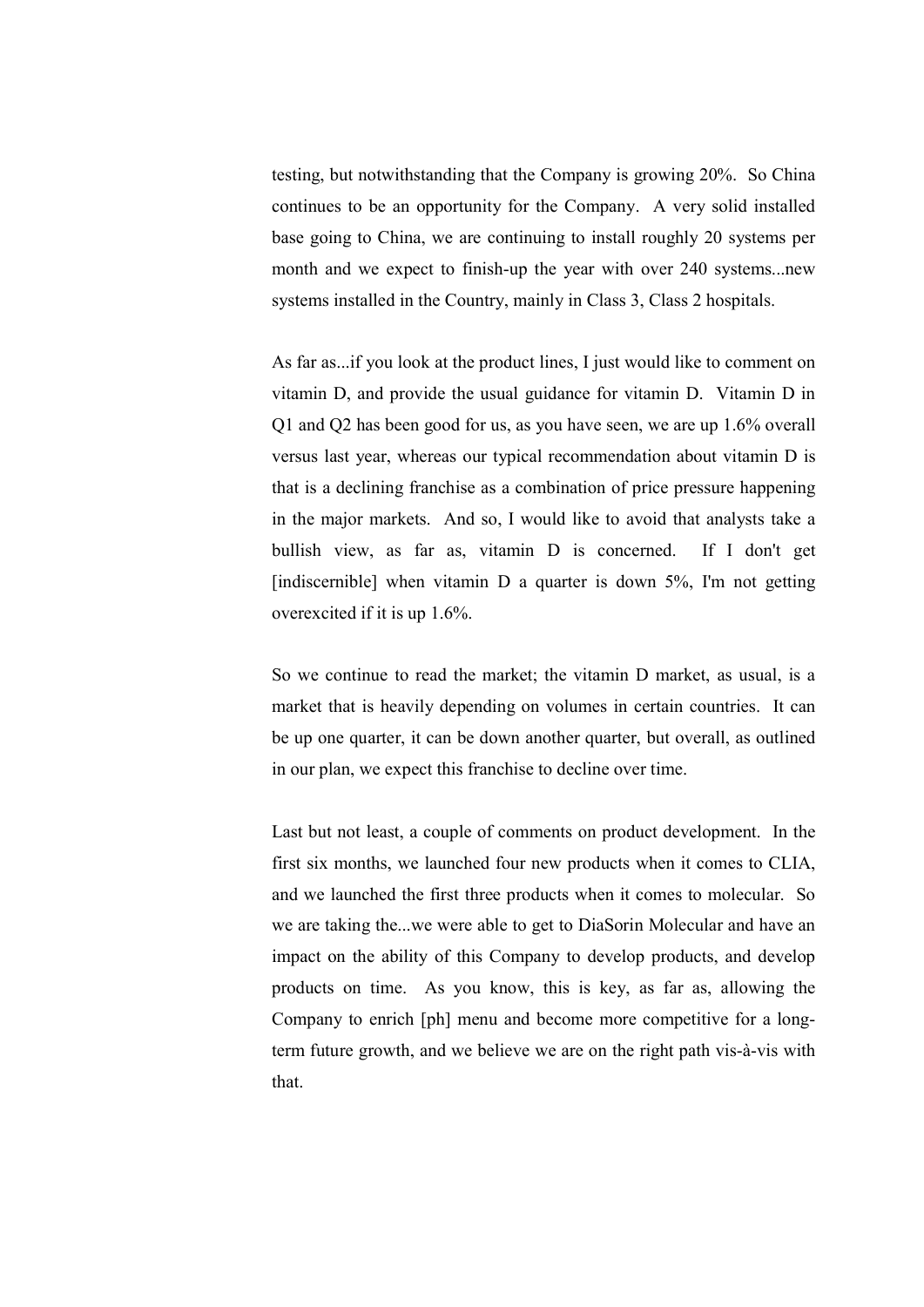testing, but notwithstanding that the Company is growing 20%. So China continues to be an opportunity for the Company. A very solid installed base going to China, we are continuing to install roughly 20 systems per month and we expect to finish-up the year with over 240 systems...new systems installed in the Country, mainly in Class 3, Class 2 hospitals.

 As far as...if you look at the product lines, I just would like to comment on vitamin D, and provide the usual guidance for vitamin D. Vitamin D in Q1 and Q2 has been good for us, as you have seen, we are up 1.6% overall versus last year, whereas our typical recommendation about vitamin D is that is a declining franchise as a combination of price pressure happening in the major markets. And so, I would like to avoid that analysts take a bullish view, as far as, vitamin D is concerned. If I don't get [indiscernible] when vitamin D a quarter is down 5%, I'm not getting overexcited if it is up 1.6%.

 So we continue to read the market; the vitamin D market, as usual, is a market that is heavily depending on volumes in certain countries. It can be up one quarter, it can be down another quarter, but overall, as outlined in our plan, we expect this franchise to decline over time.

 Last but not least, a couple of comments on product development. In the first six months, we launched four new products when it comes to CLIA, and we launched the first three products when it comes to molecular. So we are taking the...we were able to get to DiaSorin Molecular and have an impact on the ability of this Company to develop products, and develop products on time. As you know, this is key, as far as, allowing the Company to enrich [ph] menu and become more competitive for a longterm future growth, and we believe we are on the right path vis-à-vis with that.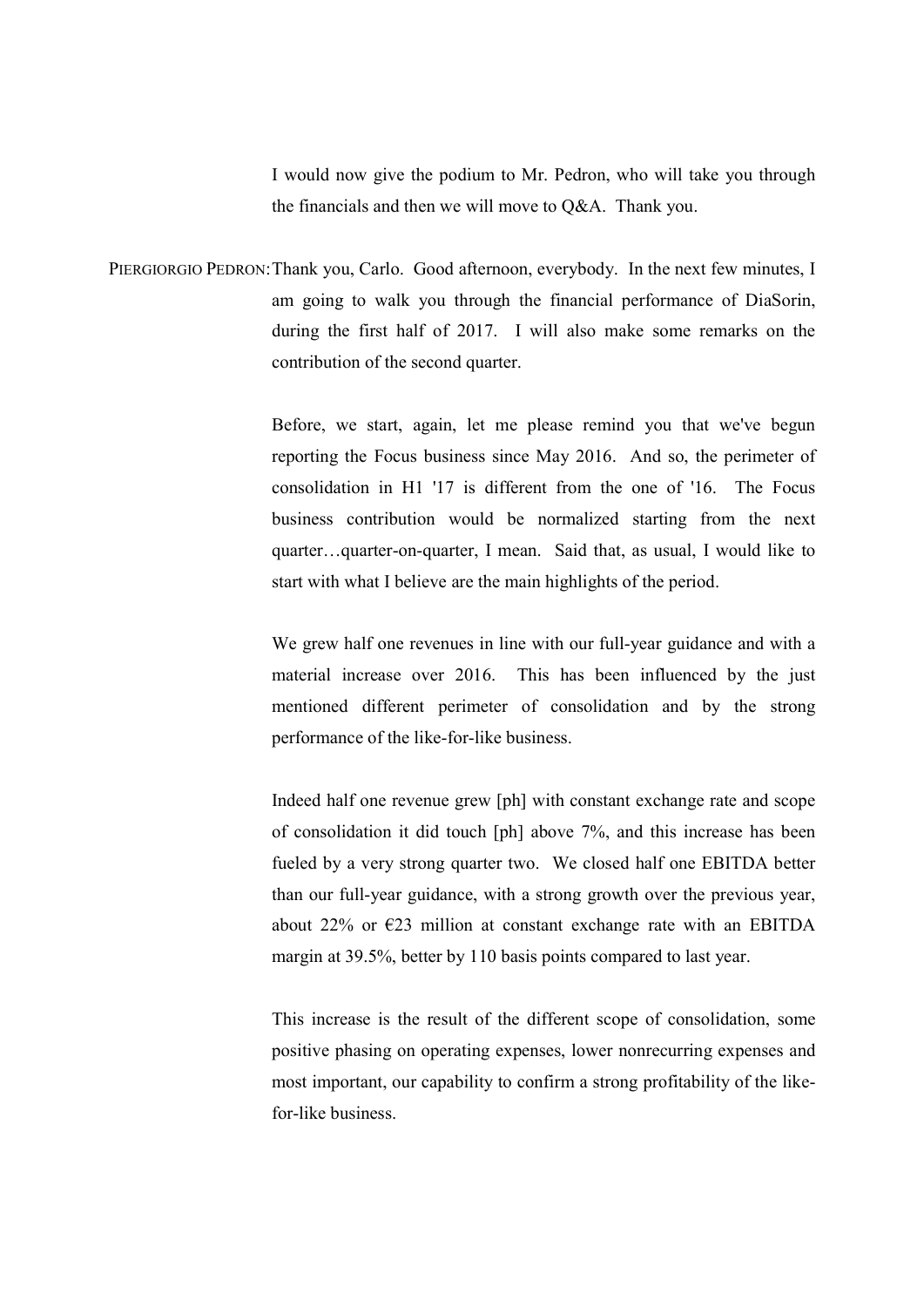I would now give the podium to Mr. Pedron, who will take you through the financials and then we will move to Q&A. Thank you.

PIERGIORGIO PEDRON: Thank you, Carlo. Good afternoon, everybody. In the next few minutes, I am going to walk you through the financial performance of DiaSorin, during the first half of 2017. I will also make some remarks on the contribution of the second quarter.

> Before, we start, again, let me please remind you that we've begun reporting the Focus business since May 2016. And so, the perimeter of consolidation in H1 '17 is different from the one of '16. The Focus business contribution would be normalized starting from the next quarter…quarter-on-quarter, I mean. Said that, as usual, I would like to start with what I believe are the main highlights of the period.

> We grew half one revenues in line with our full-year guidance and with a material increase over 2016. This has been influenced by the just mentioned different perimeter of consolidation and by the strong performance of the like-for-like business.

> Indeed half one revenue grew [ph] with constant exchange rate and scope of consolidation it did touch [ph] above 7%, and this increase has been fueled by a very strong quarter two. We closed half one EBITDA better than our full-year guidance, with a strong growth over the previous year, about 22% or  $E$ 23 million at constant exchange rate with an EBITDA margin at 39.5%, better by 110 basis points compared to last year.

> This increase is the result of the different scope of consolidation, some positive phasing on operating expenses, lower nonrecurring expenses and most important, our capability to confirm a strong profitability of the likefor-like business.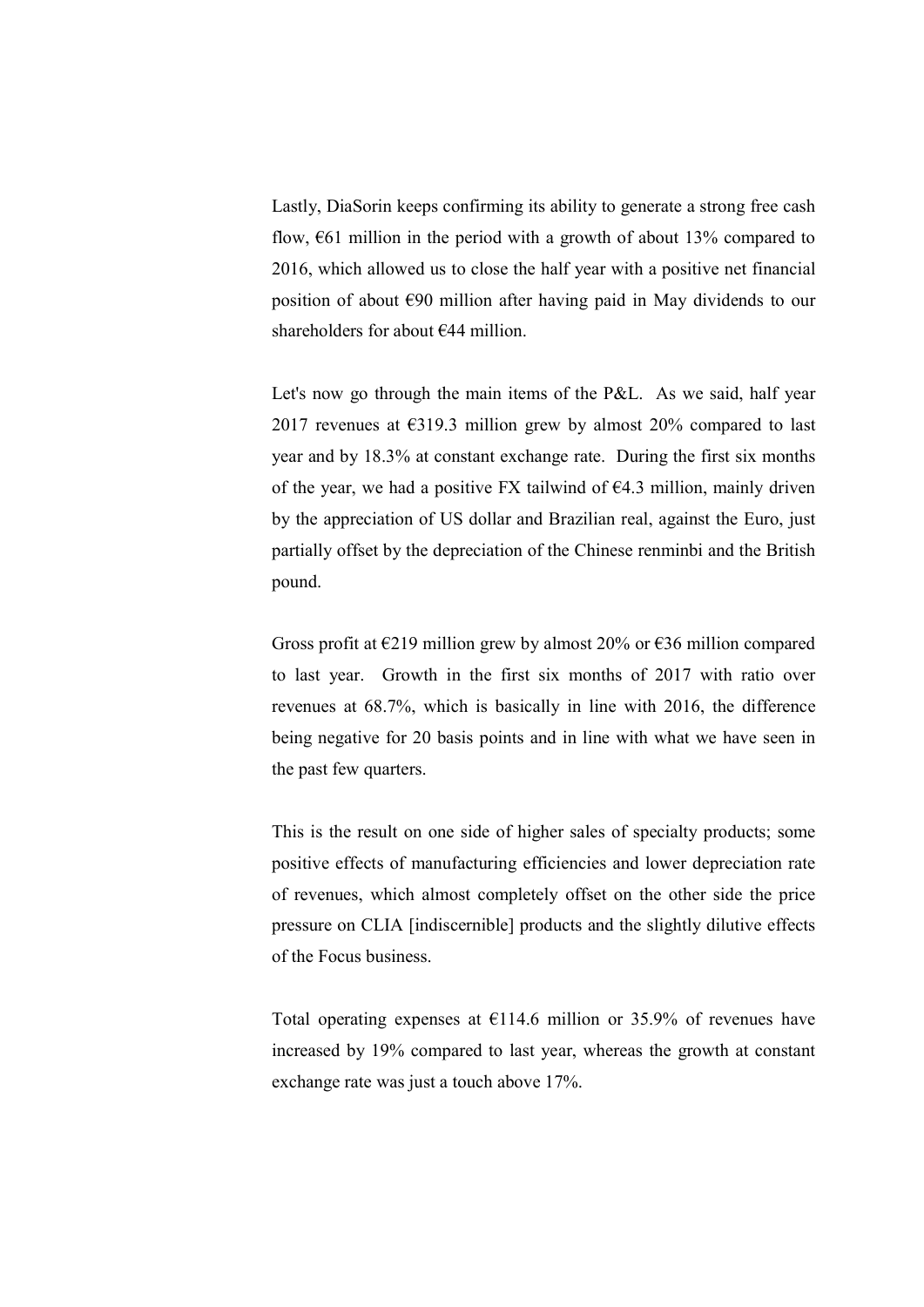Lastly, DiaSorin keeps confirming its ability to generate a strong free cash flow,  $661$  million in the period with a growth of about 13% compared to 2016, which allowed us to close the half year with a positive net financial position of about  $\epsilon$ 90 million after having paid in May dividends to our shareholders for about €44 million.

Let's now go through the main items of the P&L. As we said, half year 2017 revenues at  $\epsilon$ 319.3 million grew by almost 20% compared to last year and by 18.3% at constant exchange rate. During the first six months of the year, we had a positive FX tailwind of  $64.3$  million, mainly driven by the appreciation of US dollar and Brazilian real, against the Euro, just partially offset by the depreciation of the Chinese renminbi and the British pound.

Gross profit at  $\epsilon$ 219 million grew by almost 20% or  $\epsilon$ 36 million compared to last year. Growth in the first six months of 2017 with ratio over revenues at 68.7%, which is basically in line with 2016, the difference being negative for 20 basis points and in line with what we have seen in the past few quarters.

 This is the result on one side of higher sales of specialty products; some positive effects of manufacturing efficiencies and lower depreciation rate of revenues, which almost completely offset on the other side the price pressure on CLIA [indiscernible] products and the slightly dilutive effects of the Focus business.

Total operating expenses at  $£114.6$  million or 35.9% of revenues have increased by 19% compared to last year, whereas the growth at constant exchange rate was just a touch above 17%.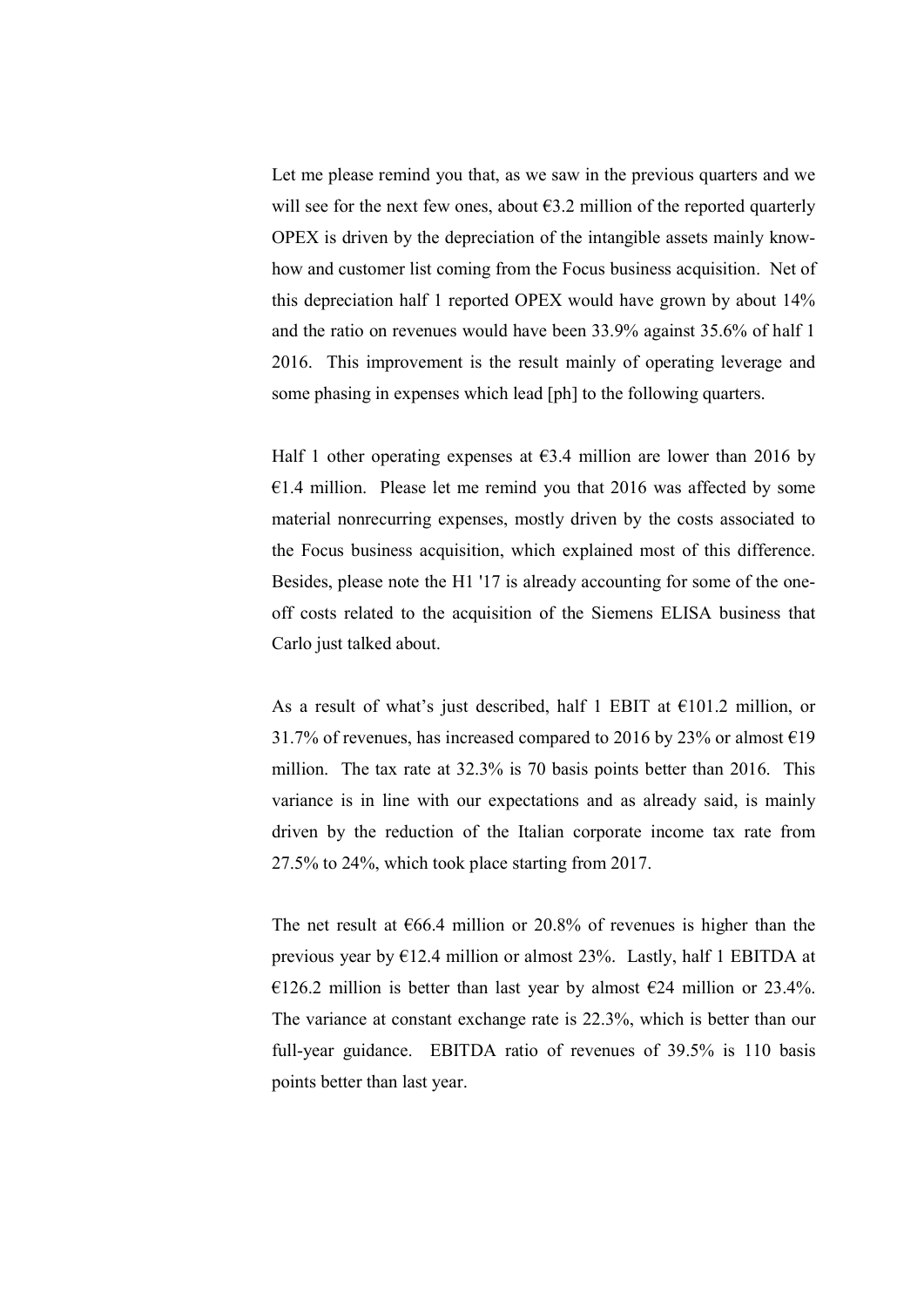Let me please remind you that, as we saw in the previous quarters and we will see for the next few ones, about  $\epsilon$ 3.2 million of the reported quarterly OPEX is driven by the depreciation of the intangible assets mainly knowhow and customer list coming from the Focus business acquisition. Net of this depreciation half 1 reported OPEX would have grown by about 14% and the ratio on revenues would have been 33.9% against 35.6% of half 1 2016. This improvement is the result mainly of operating leverage and some phasing in expenses which lead [ph] to the following quarters.

Half 1 other operating expenses at  $63.4$  million are lower than 2016 by  $E1.4$  million. Please let me remind you that 2016 was affected by some material nonrecurring expenses, mostly driven by the costs associated to the Focus business acquisition, which explained most of this difference. Besides, please note the H1 '17 is already accounting for some of the oneoff costs related to the acquisition of the Siemens ELISA business that Carlo just talked about.

As a result of what's just described, half 1 EBIT at  $E101.2$  million, or 31.7% of revenues, has increased compared to 2016 by 23% or almost  $E19$ million. The tax rate at 32.3% is 70 basis points better than 2016. This variance is in line with our expectations and as already said, is mainly driven by the reduction of the Italian corporate income tax rate from 27.5% to 24%, which took place starting from 2017.

The net result at  $66.4$  million or 20.8% of revenues is higher than the previous year by €12.4 million or almost 23%. Lastly, half 1 EBITDA at €126.2 million is better than last year by almost €24 million or 23.4%. The variance at constant exchange rate is 22.3%, which is better than our full-year guidance. EBITDA ratio of revenues of 39.5% is 110 basis points better than last year.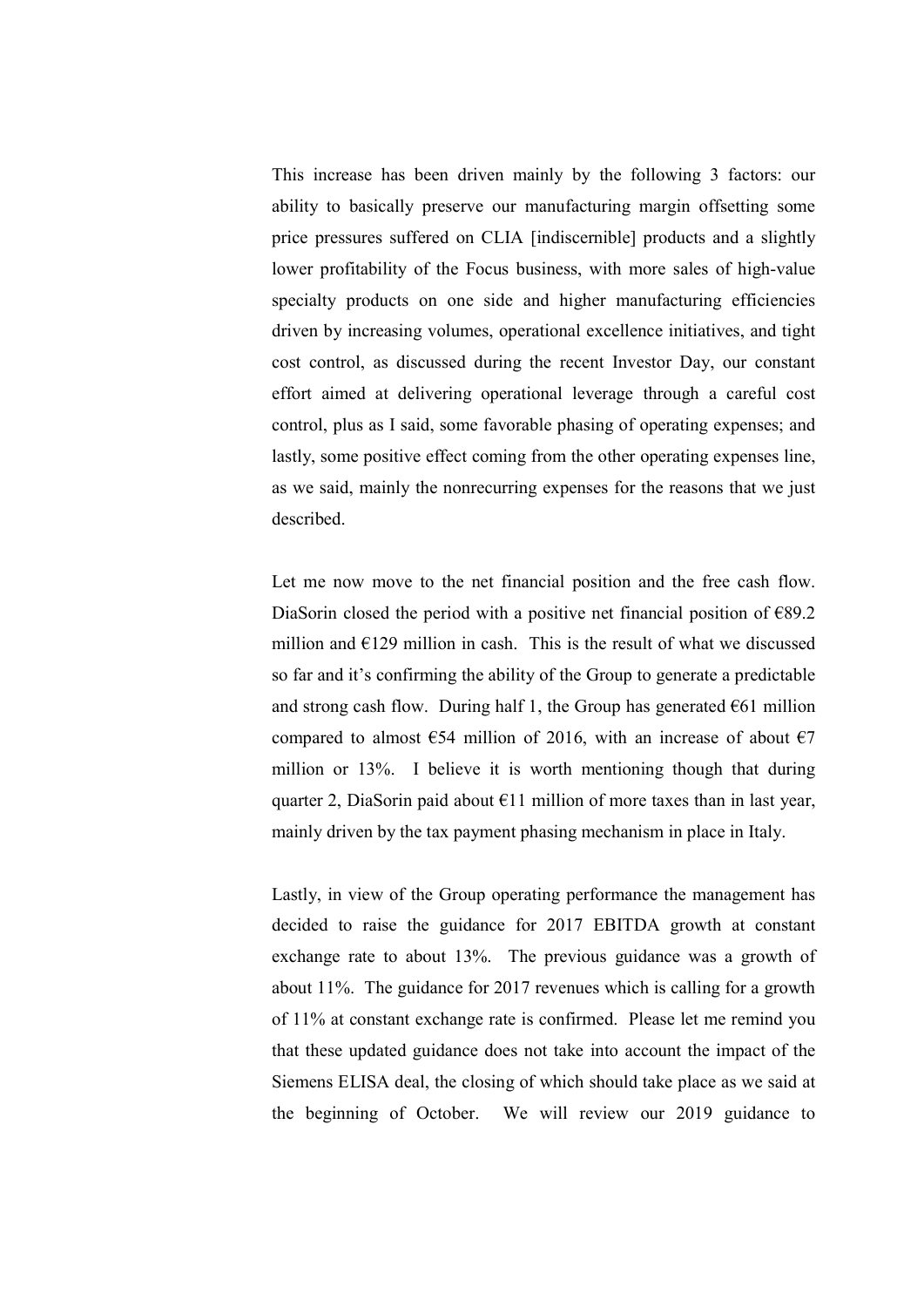This increase has been driven mainly by the following 3 factors: our ability to basically preserve our manufacturing margin offsetting some price pressures suffered on CLIA [indiscernible] products and a slightly lower profitability of the Focus business, with more sales of high-value specialty products on one side and higher manufacturing efficiencies driven by increasing volumes, operational excellence initiatives, and tight cost control, as discussed during the recent Investor Day, our constant effort aimed at delivering operational leverage through a careful cost control, plus as I said, some favorable phasing of operating expenses; and lastly, some positive effect coming from the other operating expenses line, as we said, mainly the nonrecurring expenses for the reasons that we just described.

 Let me now move to the net financial position and the free cash flow. DiaSorin closed the period with a positive net financial position of  $\epsilon$ 89.2 million and  $E129$  million in cash. This is the result of what we discussed so far and it's confirming the ability of the Group to generate a predictable and strong cash flow. During half 1, the Group has generated  $\epsilon$ 61 million compared to almost  $\epsilon$ 54 million of 2016, with an increase of about  $\epsilon$ 7 million or 13%. I believe it is worth mentioning though that during quarter 2, DiaSorin paid about  $E11$  million of more taxes than in last year, mainly driven by the tax payment phasing mechanism in place in Italy.

 Lastly, in view of the Group operating performance the management has decided to raise the guidance for 2017 EBITDA growth at constant exchange rate to about 13%. The previous guidance was a growth of about 11%. The guidance for 2017 revenues which is calling for a growth of 11% at constant exchange rate is confirmed. Please let me remind you that these updated guidance does not take into account the impact of the Siemens ELISA deal, the closing of which should take place as we said at the beginning of October. We will review our 2019 guidance to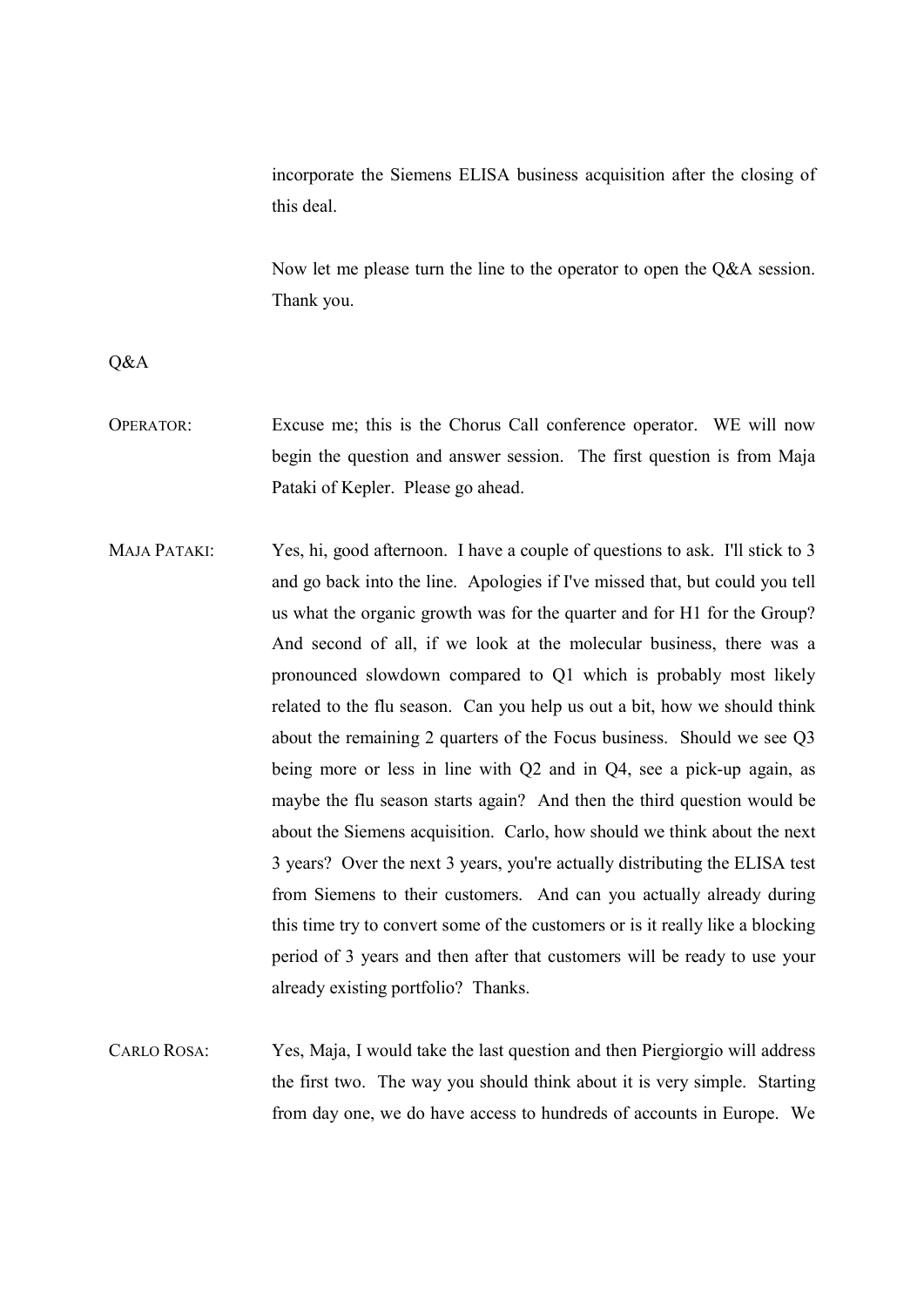incorporate the Siemens ELISA business acquisition after the closing of this deal.

 Now let me please turn the line to the operator to open the Q&A session. Thank you.

Q&A

- OPERATOR: Excuse me; this is the Chorus Call conference operator. WE will now begin the question and answer session. The first question is from Maja Pataki of Kepler. Please go ahead.
- MAJA PATAKI: Yes, hi, good afternoon. I have a couple of questions to ask. I'll stick to 3 and go back into the line. Apologies if I've missed that, but could you tell us what the organic growth was for the quarter and for H1 for the Group? And second of all, if we look at the molecular business, there was a pronounced slowdown compared to Q1 which is probably most likely related to the flu season. Can you help us out a bit, how we should think about the remaining 2 quarters of the Focus business. Should we see Q3 being more or less in line with Q2 and in Q4, see a pick-up again, as maybe the flu season starts again? And then the third question would be about the Siemens acquisition. Carlo, how should we think about the next 3 years? Over the next 3 years, you're actually distributing the ELISA test from Siemens to their customers. And can you actually already during this time try to convert some of the customers or is it really like a blocking period of 3 years and then after that customers will be ready to use your already existing portfolio? Thanks.
- CARLO ROSA: Yes, Maja, I would take the last question and then Piergiorgio will address the first two. The way you should think about it is very simple. Starting from day one, we do have access to hundreds of accounts in Europe. We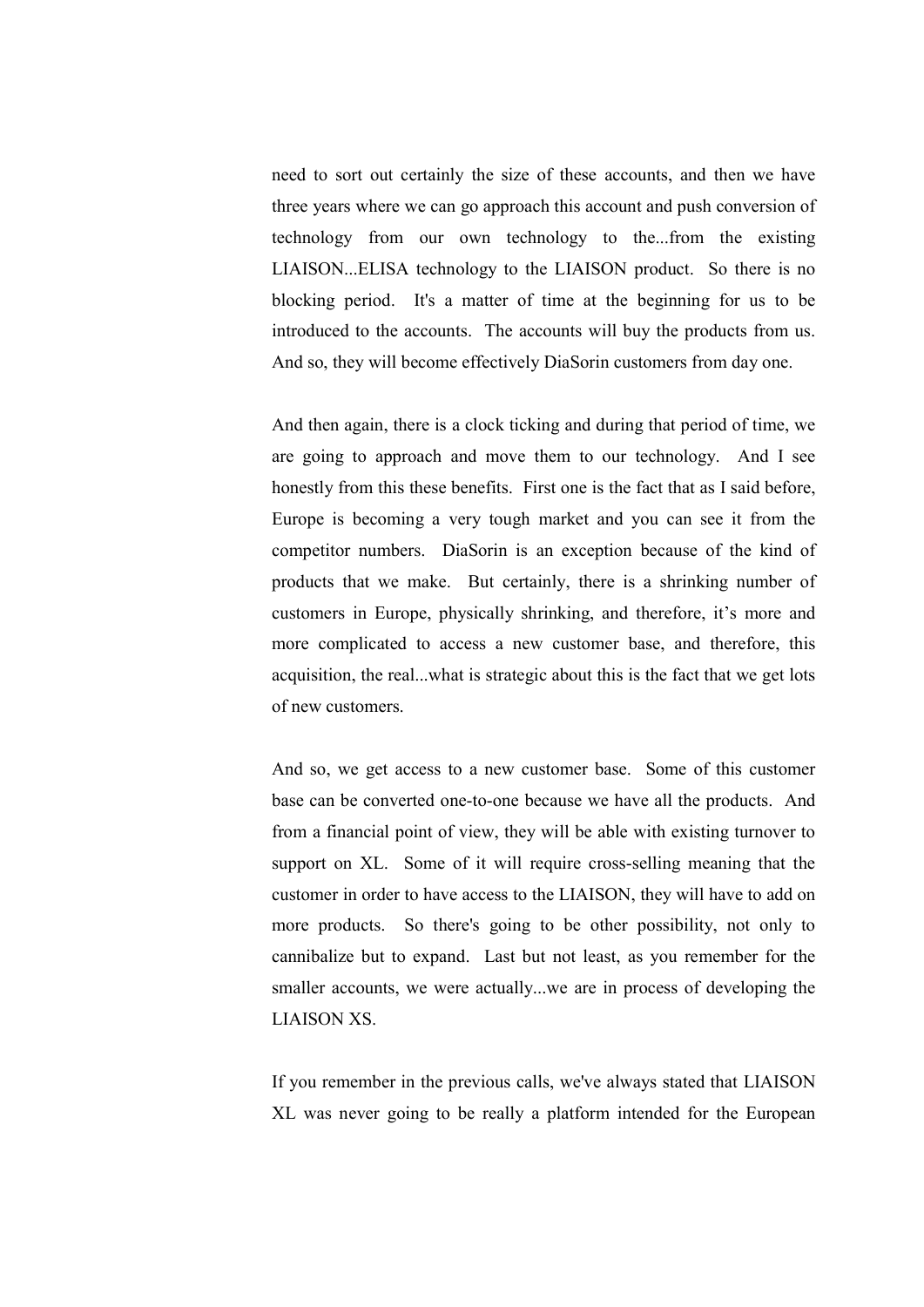need to sort out certainly the size of these accounts, and then we have three years where we can go approach this account and push conversion of technology from our own technology to the...from the existing LIAISON...ELISA technology to the LIAISON product. So there is no blocking period. It's a matter of time at the beginning for us to be introduced to the accounts. The accounts will buy the products from us. And so, they will become effectively DiaSorin customers from day one.

 And then again, there is a clock ticking and during that period of time, we are going to approach and move them to our technology. And I see honestly from this these benefits. First one is the fact that as I said before, Europe is becoming a very tough market and you can see it from the competitor numbers. DiaSorin is an exception because of the kind of products that we make. But certainly, there is a shrinking number of customers in Europe, physically shrinking, and therefore, it's more and more complicated to access a new customer base, and therefore, this acquisition, the real...what is strategic about this is the fact that we get lots of new customers.

 And so, we get access to a new customer base. Some of this customer base can be converted one-to-one because we have all the products. And from a financial point of view, they will be able with existing turnover to support on XL. Some of it will require cross-selling meaning that the customer in order to have access to the LIAISON, they will have to add on more products. So there's going to be other possibility, not only to cannibalize but to expand. Last but not least, as you remember for the smaller accounts, we were actually...we are in process of developing the LIAISON XS.

 If you remember in the previous calls, we've always stated that LIAISON XL was never going to be really a platform intended for the European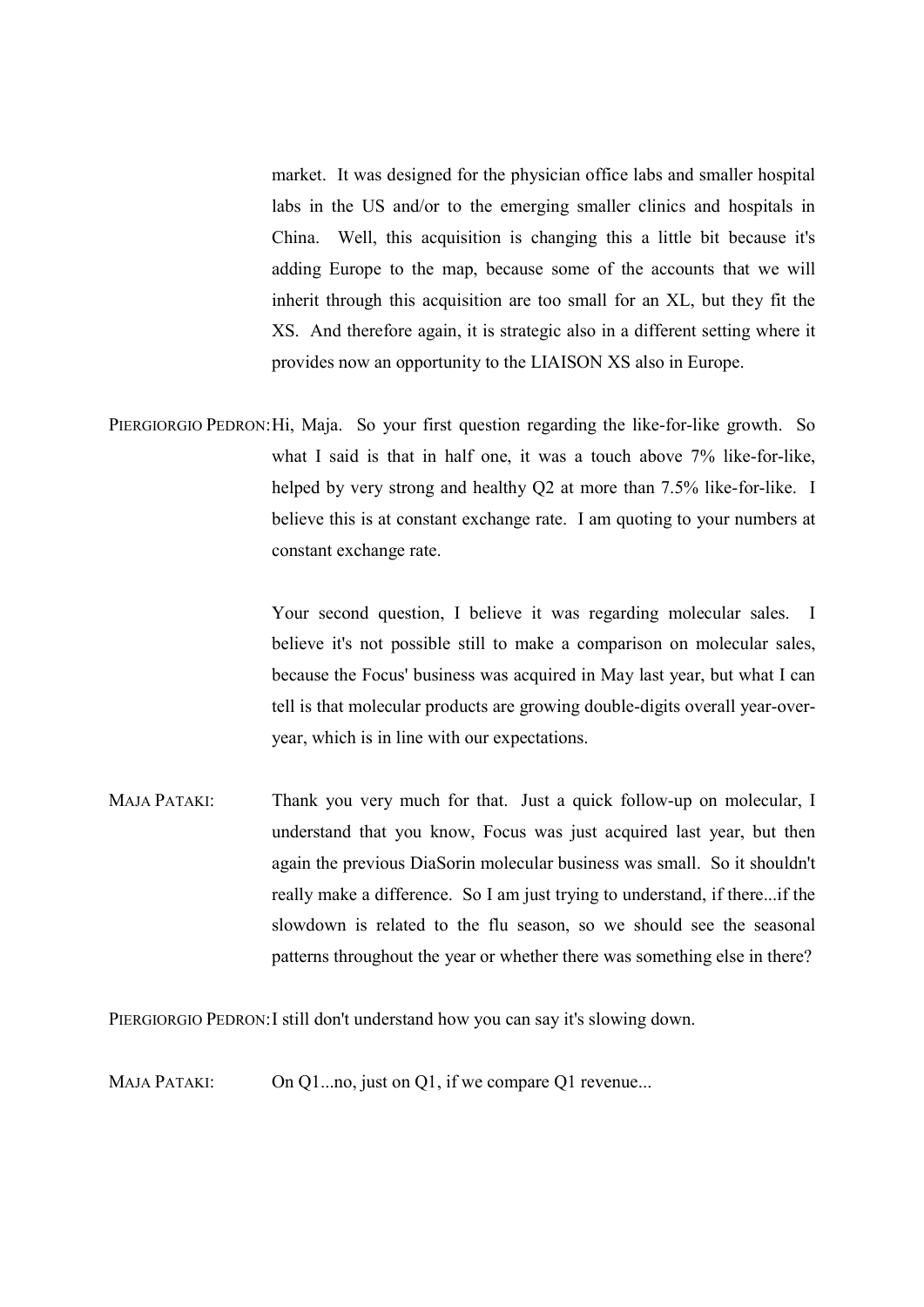market. It was designed for the physician office labs and smaller hospital labs in the US and/or to the emerging smaller clinics and hospitals in China. Well, this acquisition is changing this a little bit because it's adding Europe to the map, because some of the accounts that we will inherit through this acquisition are too small for an XL, but they fit the XS. And therefore again, it is strategic also in a different setting where it provides now an opportunity to the LIAISON XS also in Europe.

PIERGIORGIO PEDRON: Hi, Maja. So your first question regarding the like-for-like growth. So what I said is that in half one, it was a touch above 7% like-for-like, helped by very strong and healthy O2 at more than 7.5% like-for-like. I believe this is at constant exchange rate. I am quoting to your numbers at constant exchange rate.

> Your second question, I believe it was regarding molecular sales. I believe it's not possible still to make a comparison on molecular sales, because the Focus' business was acquired in May last year, but what I can tell is that molecular products are growing double-digits overall year-overyear, which is in line with our expectations.

MAJA PATAKI: Thank you very much for that. Just a quick follow-up on molecular, I understand that you know, Focus was just acquired last year, but then again the previous DiaSorin molecular business was small. So it shouldn't really make a difference. So I am just trying to understand, if there...if the slowdown is related to the flu season, so we should see the seasonal patterns throughout the year or whether there was something else in there?

PIERGIORGIO PEDRON: I still don't understand how you can say it's slowing down.

MAJA PATAKI: On Q1...no, just on Q1, if we compare Q1 revenue...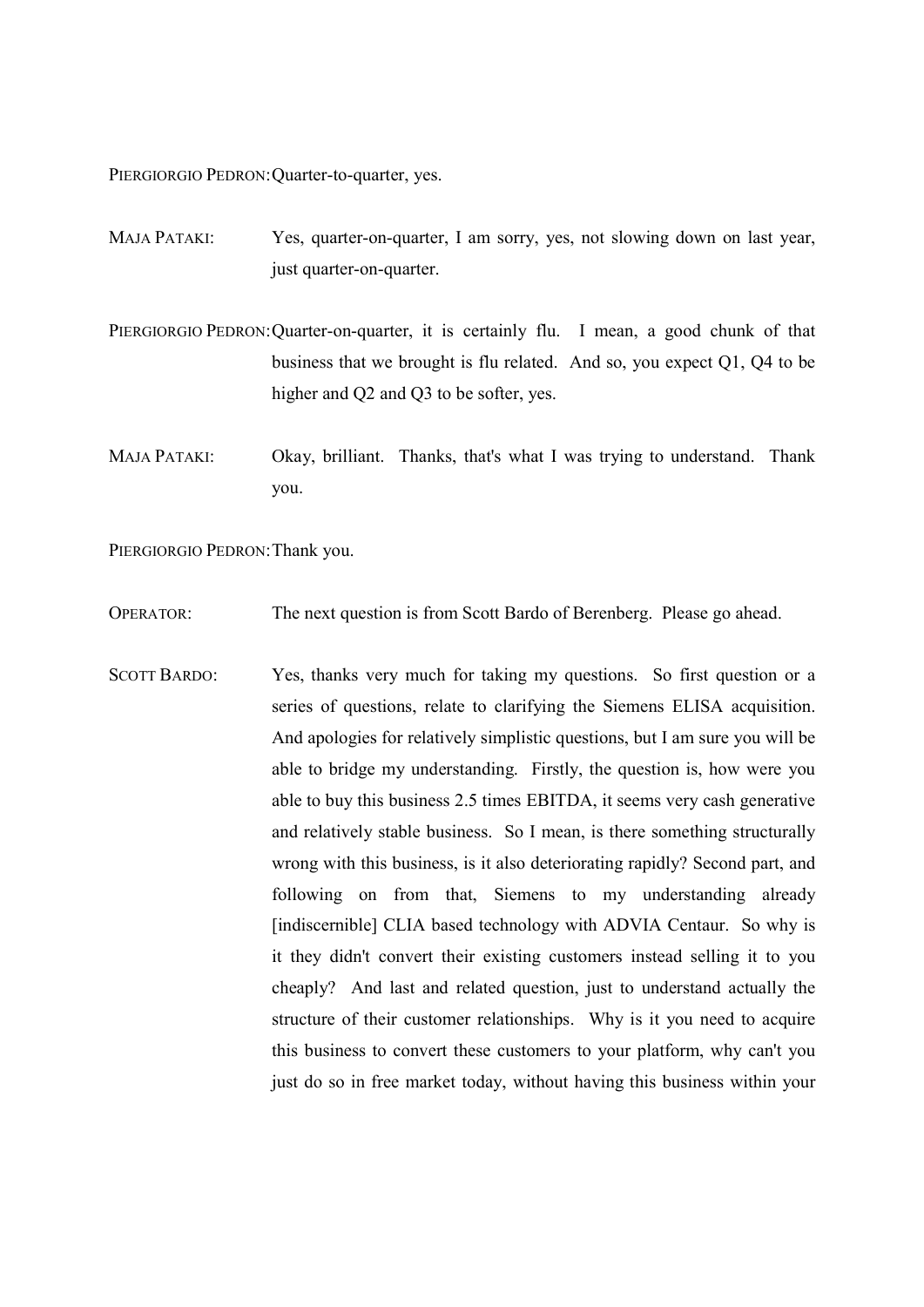PIERGIORGIO PEDRON: Quarter-to-quarter, yes.

- MAJA PATAKI: Yes, quarter-on-quarter, I am sorry, yes, not slowing down on last year, just quarter-on-quarter.
- PIERGIORGIO PEDRON: Quarter-on-quarter, it is certainly flu. I mean, a good chunk of that business that we brought is flu related. And so, you expect Q1, Q4 to be higher and Q2 and Q3 to be softer, yes.
- MAJA PATAKI: Okay, brilliant. Thanks, that's what I was trying to understand. Thank you.

PIERGIORGIO PEDRON: Thank you.

OPERATOR: The next question is from Scott Bardo of Berenberg. Please go ahead.

SCOTT BARDO: Yes, thanks very much for taking my questions. So first question or a series of questions, relate to clarifying the Siemens ELISA acquisition. And apologies for relatively simplistic questions, but I am sure you will be able to bridge my understanding. Firstly, the question is, how were you able to buy this business 2.5 times EBITDA, it seems very cash generative and relatively stable business. So I mean, is there something structurally wrong with this business, is it also deteriorating rapidly? Second part, and following on from that, Siemens to my understanding already [indiscernible] CLIA based technology with ADVIA Centaur. So why is it they didn't convert their existing customers instead selling it to you cheaply? And last and related question, just to understand actually the structure of their customer relationships. Why is it you need to acquire this business to convert these customers to your platform, why can't you just do so in free market today, without having this business within your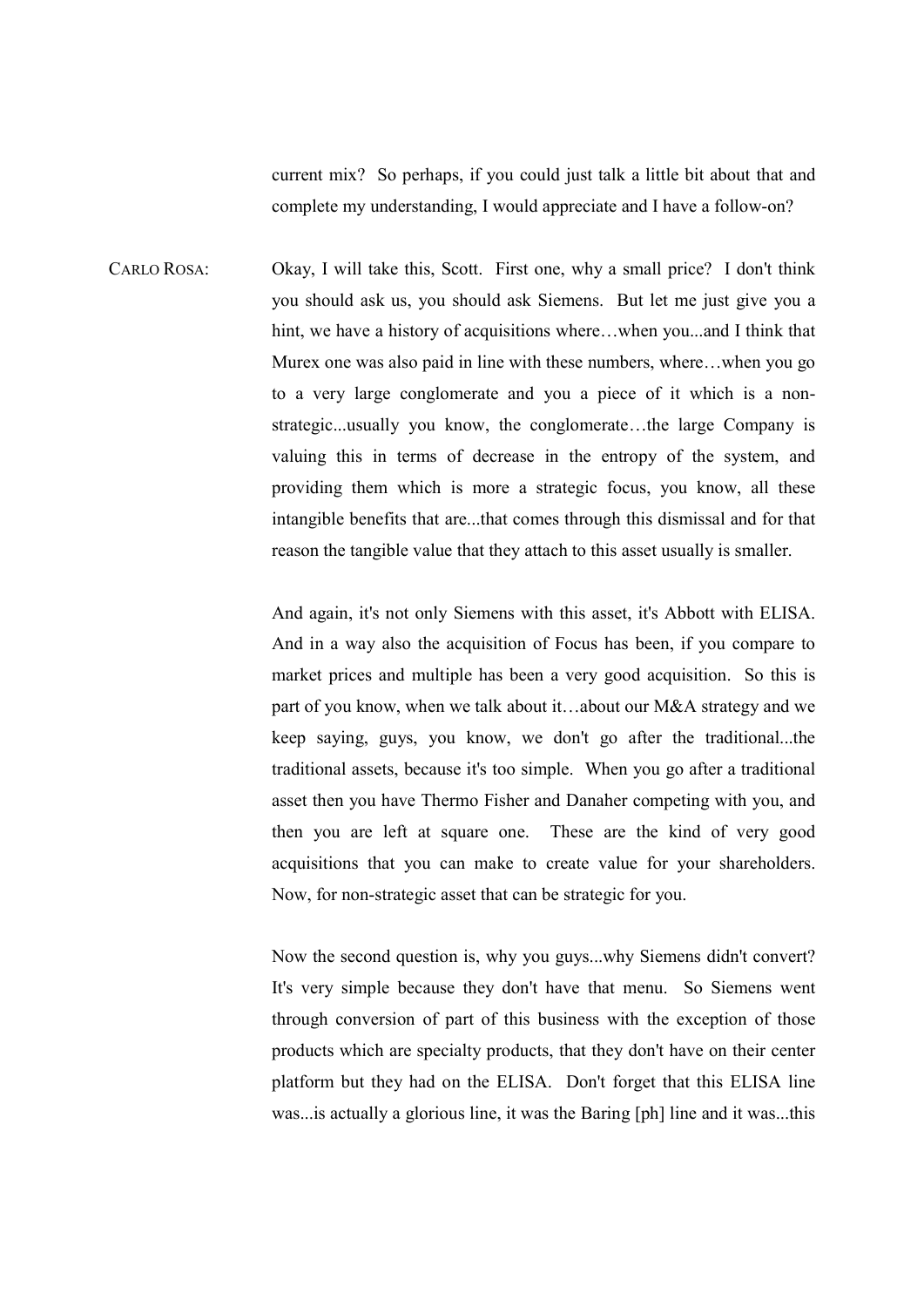current mix? So perhaps, if you could just talk a little bit about that and complete my understanding, I would appreciate and I have a follow-on?

CARLO ROSA: Okay, I will take this, Scott. First one, why a small price? I don't think you should ask us, you should ask Siemens. But let me just give you a hint, we have a history of acquisitions where…when you...and I think that Murex one was also paid in line with these numbers, where…when you go to a very large conglomerate and you a piece of it which is a nonstrategic...usually you know, the conglomerate…the large Company is valuing this in terms of decrease in the entropy of the system, and providing them which is more a strategic focus, you know, all these intangible benefits that are...that comes through this dismissal and for that reason the tangible value that they attach to this asset usually is smaller.

> And again, it's not only Siemens with this asset, it's Abbott with ELISA. And in a way also the acquisition of Focus has been, if you compare to market prices and multiple has been a very good acquisition. So this is part of you know, when we talk about it…about our M&A strategy and we keep saying, guys, you know, we don't go after the traditional...the traditional assets, because it's too simple. When you go after a traditional asset then you have Thermo Fisher and Danaher competing with you, and then you are left at square one. These are the kind of very good acquisitions that you can make to create value for your shareholders. Now, for non-strategic asset that can be strategic for you.

> Now the second question is, why you guys...why Siemens didn't convert? It's very simple because they don't have that menu. So Siemens went through conversion of part of this business with the exception of those products which are specialty products, that they don't have on their center platform but they had on the ELISA. Don't forget that this ELISA line was...is actually a glorious line, it was the Baring [ph] line and it was...this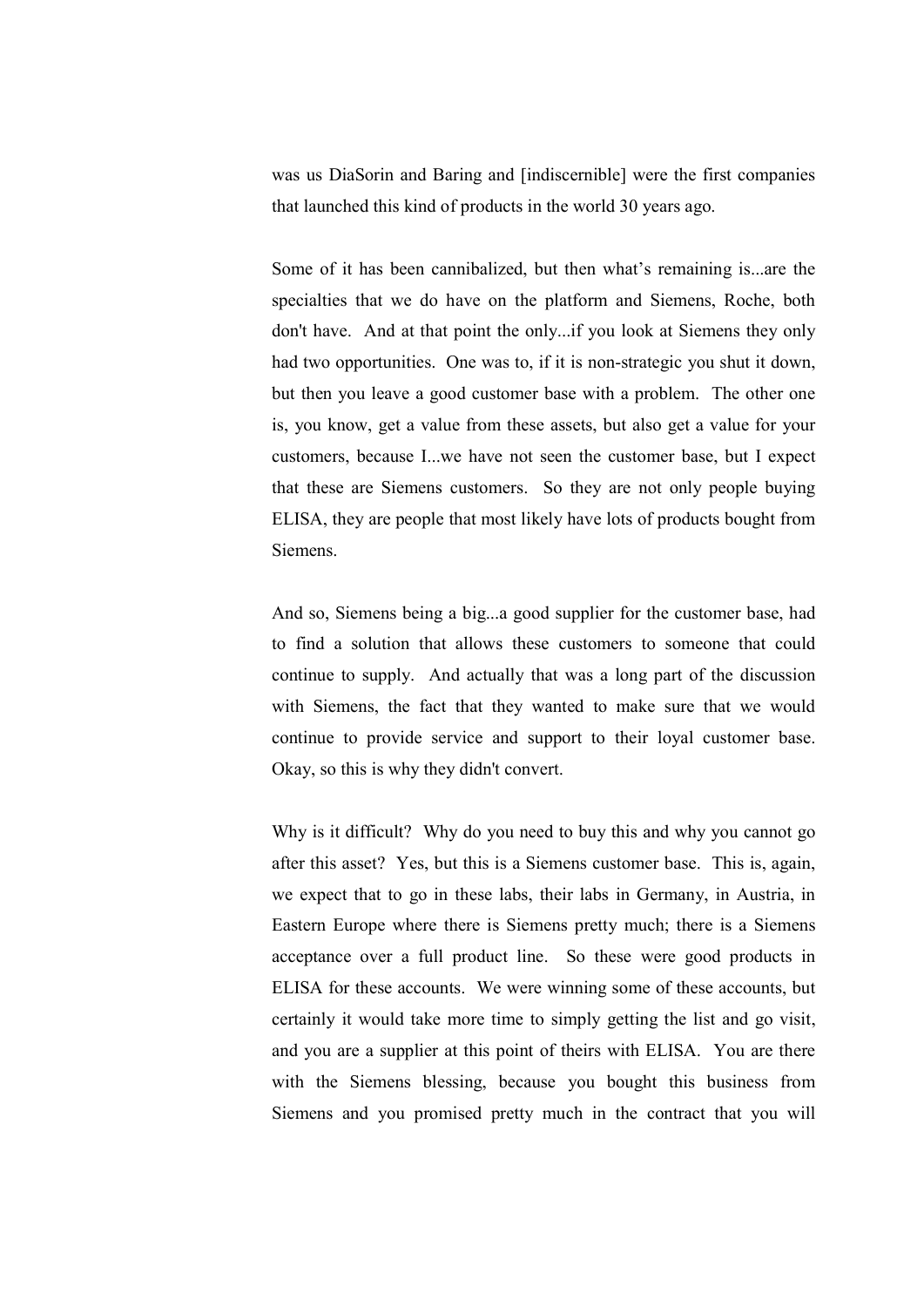was us DiaSorin and Baring and [indiscernible] were the first companies that launched this kind of products in the world 30 years ago.

 Some of it has been cannibalized, but then what's remaining is...are the specialties that we do have on the platform and Siemens, Roche, both don't have. And at that point the only...if you look at Siemens they only had two opportunities. One was to, if it is non-strategic you shut it down, but then you leave a good customer base with a problem. The other one is, you know, get a value from these assets, but also get a value for your customers, because I...we have not seen the customer base, but I expect that these are Siemens customers. So they are not only people buying ELISA, they are people that most likely have lots of products bought from Siemens.

 And so, Siemens being a big...a good supplier for the customer base, had to find a solution that allows these customers to someone that could continue to supply. And actually that was a long part of the discussion with Siemens, the fact that they wanted to make sure that we would continue to provide service and support to their loyal customer base. Okay, so this is why they didn't convert.

 Why is it difficult? Why do you need to buy this and why you cannot go after this asset? Yes, but this is a Siemens customer base. This is, again, we expect that to go in these labs, their labs in Germany, in Austria, in Eastern Europe where there is Siemens pretty much; there is a Siemens acceptance over a full product line. So these were good products in ELISA for these accounts. We were winning some of these accounts, but certainly it would take more time to simply getting the list and go visit, and you are a supplier at this point of theirs with ELISA. You are there with the Siemens blessing, because you bought this business from Siemens and you promised pretty much in the contract that you will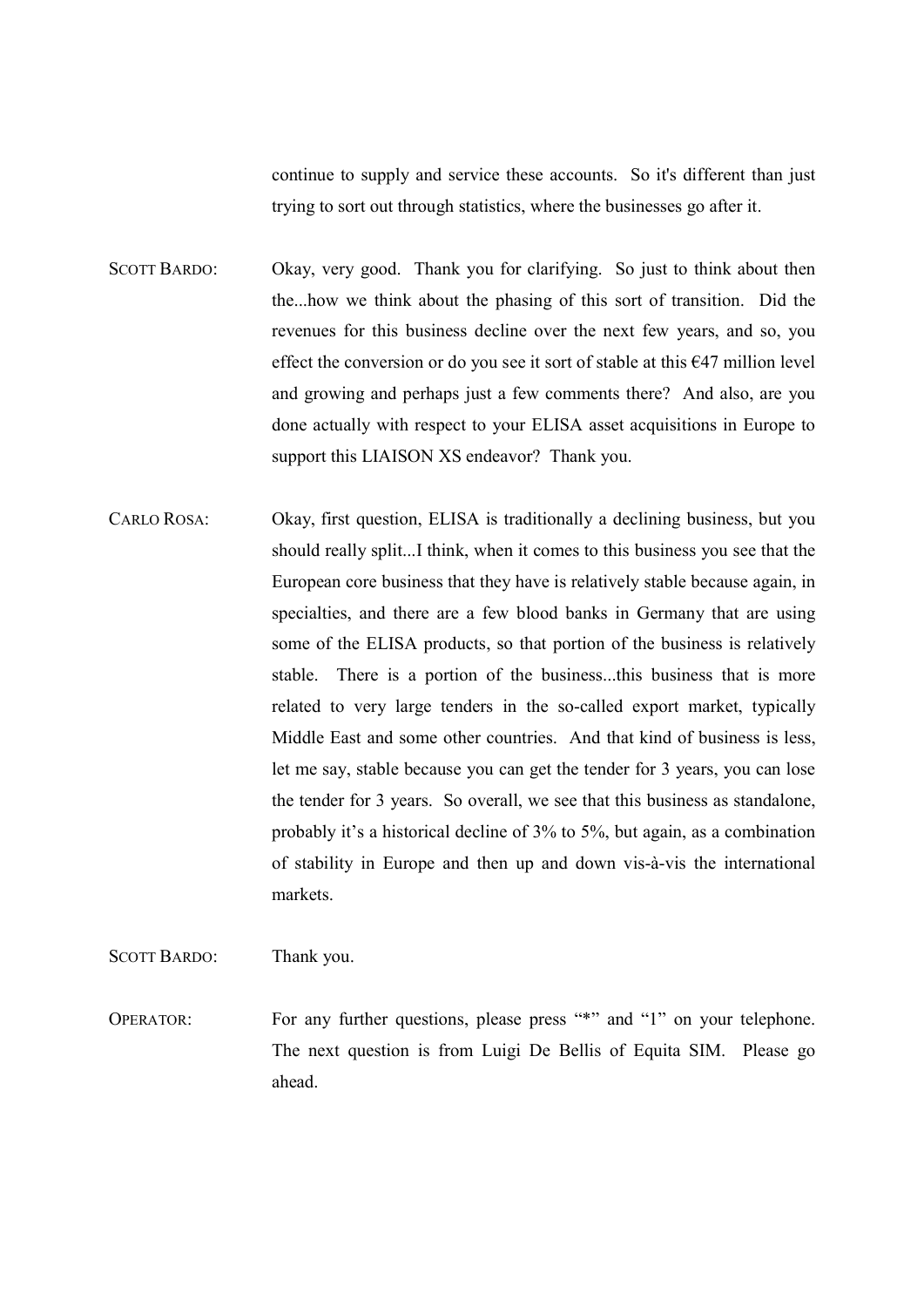continue to supply and service these accounts. So it's different than just trying to sort out through statistics, where the businesses go after it.

SCOTT BARDO: Okay, very good. Thank you for clarifying. So just to think about then the...how we think about the phasing of this sort of transition. Did the revenues for this business decline over the next few years, and so, you effect the conversion or do you see it sort of stable at this €47 million level and growing and perhaps just a few comments there? And also, are you done actually with respect to your ELISA asset acquisitions in Europe to support this LIAISON XS endeavor? Thank you.

CARLO ROSA: Okay, first question, ELISA is traditionally a declining business, but you should really split...I think, when it comes to this business you see that the European core business that they have is relatively stable because again, in specialties, and there are a few blood banks in Germany that are using some of the ELISA products, so that portion of the business is relatively stable. There is a portion of the business...this business that is more related to very large tenders in the so-called export market, typically Middle East and some other countries. And that kind of business is less, let me say, stable because you can get the tender for 3 years, you can lose the tender for 3 years. So overall, we see that this business as standalone, probably it's a historical decline of 3% to 5%, but again, as a combination of stability in Europe and then up and down vis-à-vis the international markets.

SCOTT BARDO: Thank you.

OPERATOR: For any further questions, please press "\*" and "1" on your telephone. The next question is from Luigi De Bellis of Equita SIM. Please go ahead.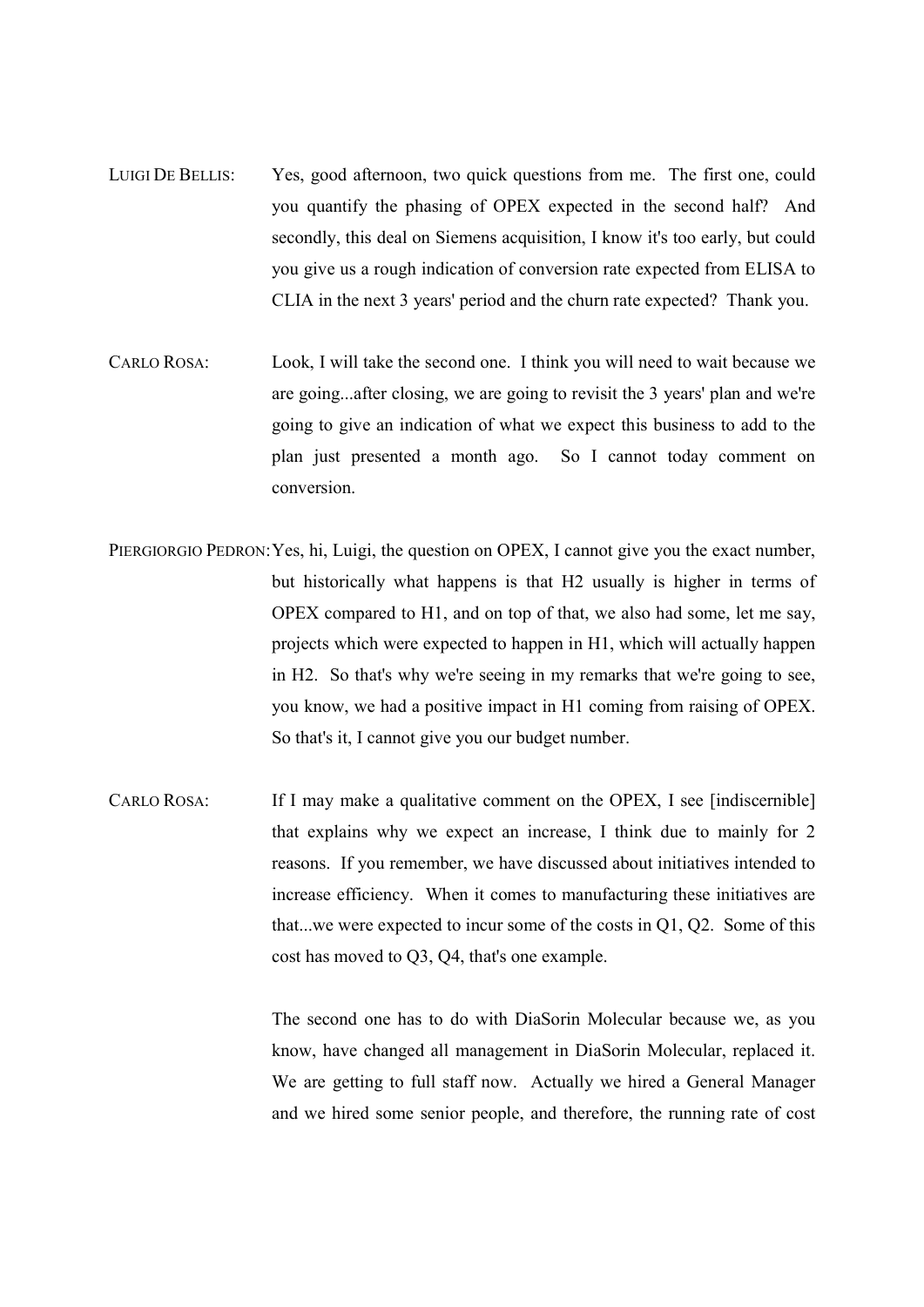- LUIGI DE BELLIS: Yes, good afternoon, two quick questions from me. The first one, could you quantify the phasing of OPEX expected in the second half? And secondly, this deal on Siemens acquisition, I know it's too early, but could you give us a rough indication of conversion rate expected from ELISA to CLIA in the next 3 years' period and the churn rate expected? Thank you.
- CARLO ROSA: Look, I will take the second one. I think you will need to wait because we are going...after closing, we are going to revisit the 3 years' plan and we're going to give an indication of what we expect this business to add to the plan just presented a month ago. So I cannot today comment on conversion.
- PIERGIORGIO PEDRON: Yes, hi, Luigi, the question on OPEX, I cannot give you the exact number, but historically what happens is that H2 usually is higher in terms of OPEX compared to H1, and on top of that, we also had some, let me say, projects which were expected to happen in H1, which will actually happen in H2. So that's why we're seeing in my remarks that we're going to see, you know, we had a positive impact in H1 coming from raising of OPEX. So that's it, I cannot give you our budget number.
- CARLO ROSA: If I may make a qualitative comment on the OPEX, I see [indiscernible] that explains why we expect an increase, I think due to mainly for 2 reasons. If you remember, we have discussed about initiatives intended to increase efficiency. When it comes to manufacturing these initiatives are that...we were expected to incur some of the costs in Q1, Q2. Some of this cost has moved to Q3, Q4, that's one example.

 The second one has to do with DiaSorin Molecular because we, as you know, have changed all management in DiaSorin Molecular, replaced it. We are getting to full staff now. Actually we hired a General Manager and we hired some senior people, and therefore, the running rate of cost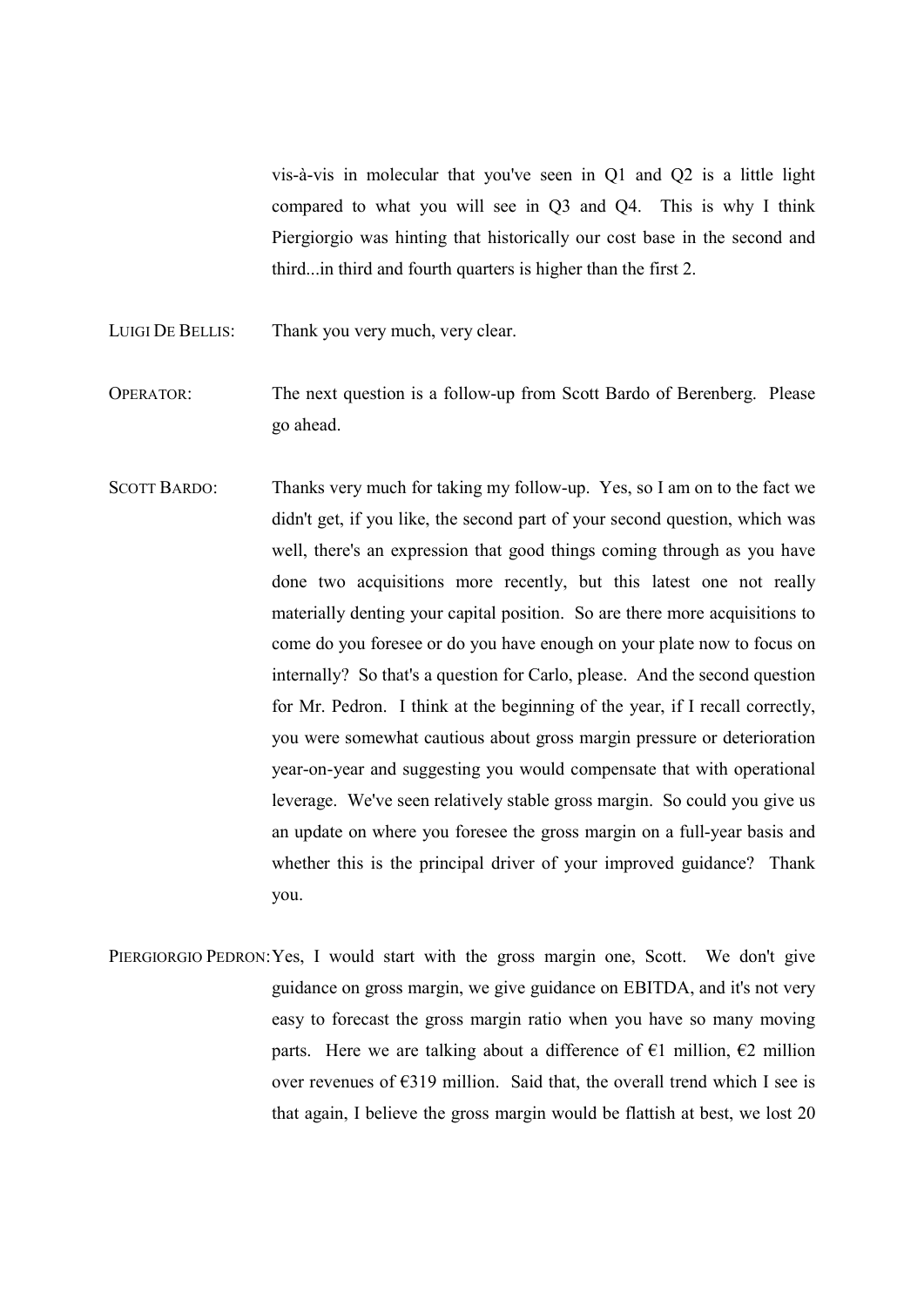vis-à-vis in molecular that you've seen in Q1 and Q2 is a little light compared to what you will see in Q3 and Q4. This is why I think Piergiorgio was hinting that historically our cost base in the second and third...in third and fourth quarters is higher than the first 2.

LUIGI DE BELLIS: Thank you very much, very clear.

OPERATOR: The next question is a follow-up from Scott Bardo of Berenberg. Please go ahead.

- SCOTT BARDO: Thanks very much for taking my follow-up. Yes, so I am on to the fact we didn't get, if you like, the second part of your second question, which was well, there's an expression that good things coming through as you have done two acquisitions more recently, but this latest one not really materially denting your capital position. So are there more acquisitions to come do you foresee or do you have enough on your plate now to focus on internally? So that's a question for Carlo, please. And the second question for Mr. Pedron. I think at the beginning of the year, if I recall correctly, you were somewhat cautious about gross margin pressure or deterioration year-on-year and suggesting you would compensate that with operational leverage. We've seen relatively stable gross margin. So could you give us an update on where you foresee the gross margin on a full-year basis and whether this is the principal driver of your improved guidance? Thank you.
- PIERGIORGIO PEDRON: Yes, I would start with the gross margin one, Scott. We don't give guidance on gross margin, we give guidance on EBITDA, and it's not very easy to forecast the gross margin ratio when you have so many moving parts. Here we are talking about a difference of  $\epsilon$ 1 million,  $\epsilon$ 2 million over revenues of  $E$ 319 million. Said that, the overall trend which I see is that again, I believe the gross margin would be flattish at best, we lost 20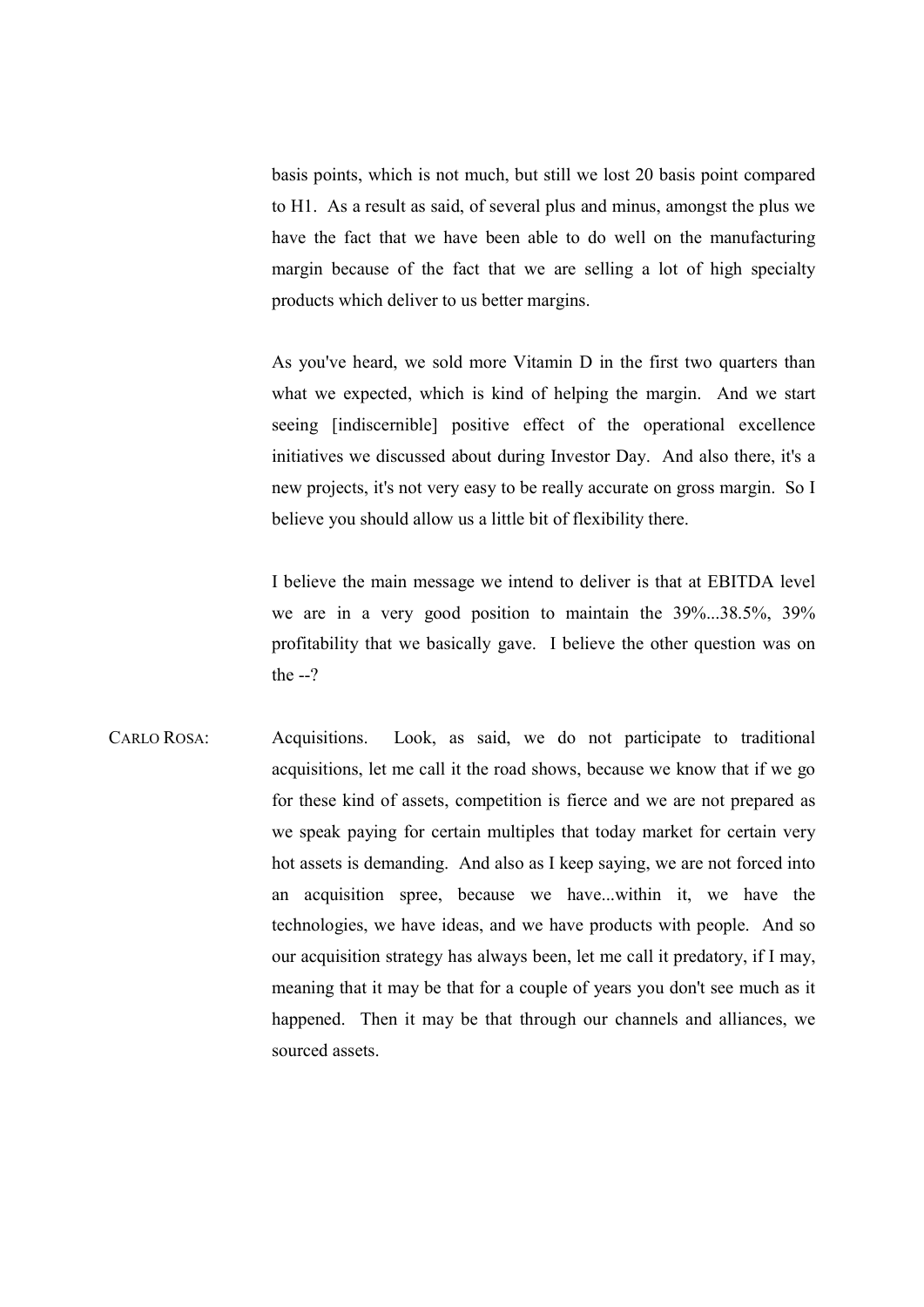basis points, which is not much, but still we lost 20 basis point compared to H1. As a result as said, of several plus and minus, amongst the plus we have the fact that we have been able to do well on the manufacturing margin because of the fact that we are selling a lot of high specialty products which deliver to us better margins.

 As you've heard, we sold more Vitamin D in the first two quarters than what we expected, which is kind of helping the margin. And we start seeing [indiscernible] positive effect of the operational excellence initiatives we discussed about during Investor Day. And also there, it's a new projects, it's not very easy to be really accurate on gross margin. So I believe you should allow us a little bit of flexibility there.

 I believe the main message we intend to deliver is that at EBITDA level we are in a very good position to maintain the 39%...38.5%, 39% profitability that we basically gave. I believe the other question was on the  $-2$ 

CARLO ROSA: Acquisitions. Look, as said, we do not participate to traditional acquisitions, let me call it the road shows, because we know that if we go for these kind of assets, competition is fierce and we are not prepared as we speak paying for certain multiples that today market for certain very hot assets is demanding. And also as I keep saying, we are not forced into an acquisition spree, because we have...within it, we have the technologies, we have ideas, and we have products with people. And so our acquisition strategy has always been, let me call it predatory, if I may, meaning that it may be that for a couple of years you don't see much as it happened. Then it may be that through our channels and alliances, we sourced assets.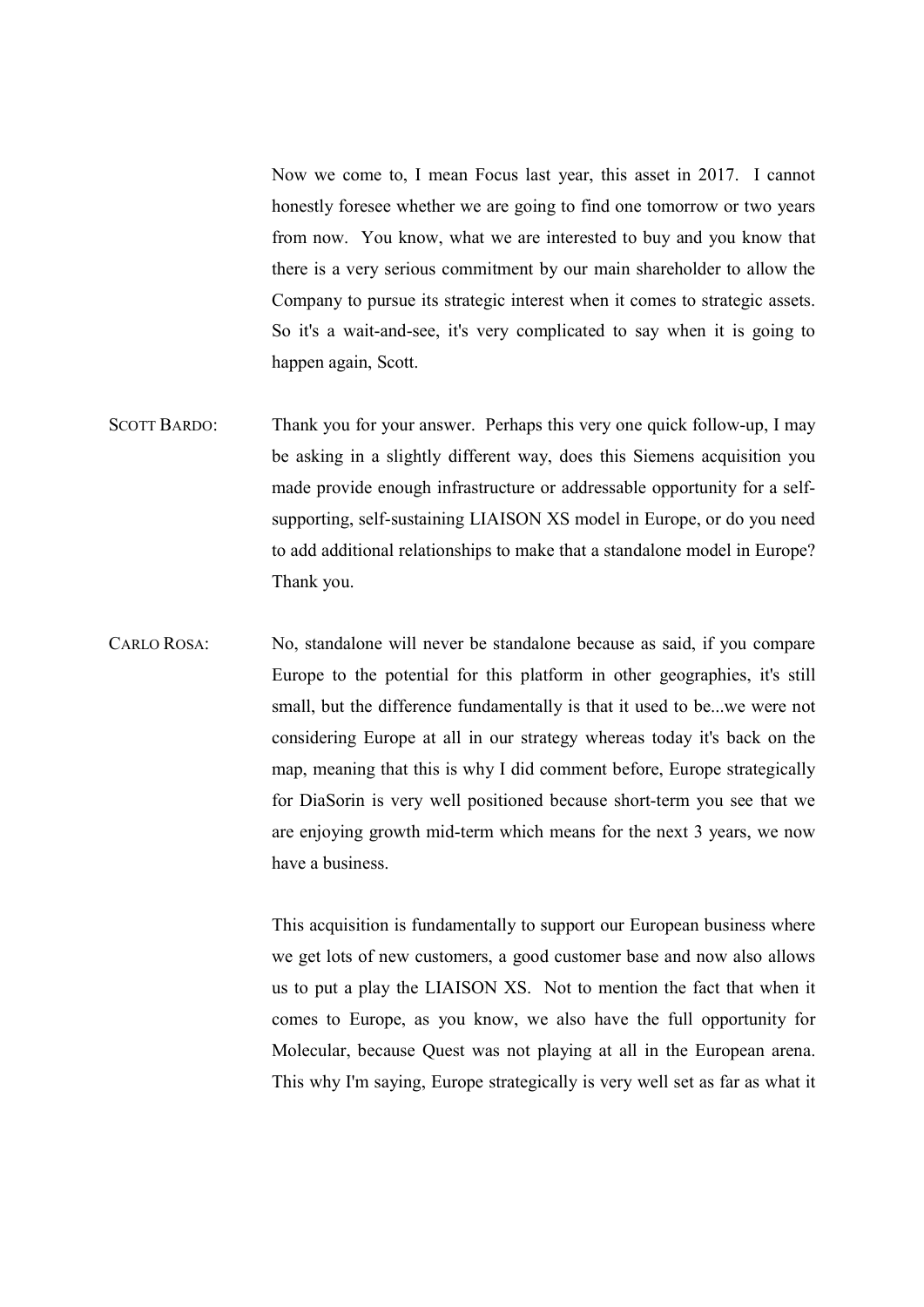Now we come to, I mean Focus last year, this asset in 2017. I cannot honestly foresee whether we are going to find one tomorrow or two years from now. You know, what we are interested to buy and you know that there is a very serious commitment by our main shareholder to allow the Company to pursue its strategic interest when it comes to strategic assets. So it's a wait-and-see, it's very complicated to say when it is going to happen again, Scott.

- SCOTT BARDO: Thank you for your answer. Perhaps this very one quick follow-up, I may be asking in a slightly different way, does this Siemens acquisition you made provide enough infrastructure or addressable opportunity for a selfsupporting, self-sustaining LIAISON XS model in Europe, or do you need to add additional relationships to make that a standalone model in Europe? Thank you.
- CARLO ROSA: No, standalone will never be standalone because as said, if you compare Europe to the potential for this platform in other geographies, it's still small, but the difference fundamentally is that it used to be...we were not considering Europe at all in our strategy whereas today it's back on the map, meaning that this is why I did comment before, Europe strategically for DiaSorin is very well positioned because short-term you see that we are enjoying growth mid-term which means for the next 3 years, we now have a business.

 This acquisition is fundamentally to support our European business where we get lots of new customers, a good customer base and now also allows us to put a play the LIAISON XS. Not to mention the fact that when it comes to Europe, as you know, we also have the full opportunity for Molecular, because Quest was not playing at all in the European arena. This why I'm saying, Europe strategically is very well set as far as what it